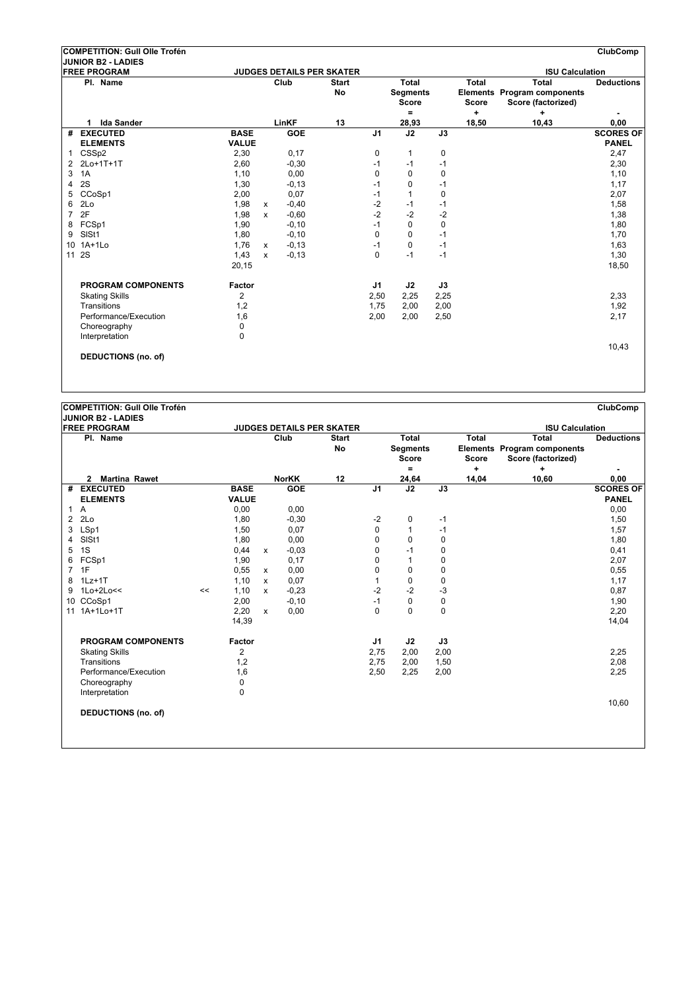|    | COMPETITION: Gull Olle Trofén                    |                |              |            |                                  |                |                                                 |      |                                   |                                                                        | ClubComp          |
|----|--------------------------------------------------|----------------|--------------|------------|----------------------------------|----------------|-------------------------------------------------|------|-----------------------------------|------------------------------------------------------------------------|-------------------|
|    | <b>JUNIOR B2 - LADIES</b><br><b>FREE PROGRAM</b> |                |              |            | <b>JUDGES DETAILS PER SKATER</b> |                |                                                 |      |                                   | <b>ISU Calculation</b>                                                 |                   |
|    | Pl. Name                                         |                |              | Club       | <b>Start</b><br>No               |                | Total<br><b>Segments</b><br><b>Score</b><br>$=$ |      | <b>Total</b><br><b>Score</b><br>÷ | <b>Total</b><br>Elements Program components<br>Score (factorized)<br>٠ | <b>Deductions</b> |
|    | <b>Ida Sander</b><br>1                           |                |              | LinKF      | 13                               |                | 28,93                                           |      | 18,50                             | 10,43                                                                  | 0,00              |
| #  | <b>EXECUTED</b>                                  | <b>BASE</b>    |              | <b>GOE</b> |                                  | J <sub>1</sub> | J2                                              | J3   |                                   |                                                                        | <b>SCORES OF</b>  |
|    | <b>ELEMENTS</b>                                  | <b>VALUE</b>   |              |            |                                  |                |                                                 |      |                                   |                                                                        | <b>PANEL</b>      |
| 1  | CSSp2                                            | 2,30           |              | 0,17       |                                  | 0              | 1                                               | 0    |                                   |                                                                        | 2,47              |
| 2  | 2Lo+1T+1T                                        | 2,60           |              | $-0,30$    |                                  | $-1$           | $-1$                                            | $-1$ |                                   |                                                                        | 2,30              |
| 3  | 1A                                               | 1,10           |              | 0,00       |                                  | 0              | $\Omega$                                        | 0    |                                   |                                                                        | 1,10              |
| 4  | 2S                                               | 1,30           |              | $-0, 13$   |                                  | $-1$           | 0                                               | $-1$ |                                   |                                                                        | 1,17              |
| 5  | CCoSp1                                           | 2,00           |              | 0,07       |                                  | $-1$           | 1                                               | 0    |                                   |                                                                        | 2,07              |
| 6  | 2Lo                                              | 1,98           | $\mathsf{x}$ | $-0,40$    |                                  | $-2$           | -1                                              | $-1$ |                                   |                                                                        | 1,58              |
| 7  | 2F                                               | 1,98           | $\mathsf{x}$ | $-0,60$    |                                  | $-2$           | $-2$                                            | $-2$ |                                   |                                                                        | 1,38              |
| 8  | FCSp1                                            | 1,90           |              | $-0,10$    |                                  | $-1$           | $\mathbf 0$                                     | 0    |                                   |                                                                        | 1,80              |
| 9  | SISt1                                            | 1,80           |              | $-0, 10$   |                                  | $\Omega$       | $\Omega$                                        | $-1$ |                                   |                                                                        | 1,70              |
| 10 | $1A+1Lo$                                         | 1.76           | X            | $-0,13$    |                                  | $-1$           | $\Omega$                                        | $-1$ |                                   |                                                                        | 1,63              |
| 11 | 2S                                               | 1,43           | $\mathbf{x}$ | $-0, 13$   |                                  | $\Omega$       | $-1$                                            | $-1$ |                                   |                                                                        | 1,30              |
|    |                                                  | 20,15          |              |            |                                  |                |                                                 |      |                                   |                                                                        | 18,50             |
|    | <b>PROGRAM COMPONENTS</b>                        | Factor         |              |            |                                  | J1             | J2                                              | J3   |                                   |                                                                        |                   |
|    | <b>Skating Skills</b>                            | $\overline{2}$ |              |            |                                  | 2,50           | 2,25                                            | 2,25 |                                   |                                                                        | 2,33              |
|    | Transitions                                      | 1,2            |              |            |                                  | 1.75           | 2,00                                            | 2,00 |                                   |                                                                        | 1,92              |
|    | Performance/Execution                            | 1,6            |              |            |                                  | 2,00           | 2,00                                            | 2,50 |                                   |                                                                        | 2,17              |
|    | Choreography                                     | 0              |              |            |                                  |                |                                                 |      |                                   |                                                                        |                   |
|    | Interpretation                                   | $\Omega$       |              |            |                                  |                |                                                 |      |                                   |                                                                        |                   |
|    |                                                  |                |              |            |                                  |                |                                                 |      |                                   |                                                                        | 10,43             |
|    | <b>DEDUCTIONS (no. of)</b>                       |                |              |            |                                  |                |                                                 |      |                                   |                                                                        |                   |
|    |                                                  |                |              |            |                                  |                |                                                 |      |                                   |                                                                        |                   |

**JUNIOR B2 - LADIES**

|    | IJUNIUK BZ - LADIES        |    |              |              |                                  |                    |                |                                                 |             |                       |                                                                          |                   |
|----|----------------------------|----|--------------|--------------|----------------------------------|--------------------|----------------|-------------------------------------------------|-------------|-----------------------|--------------------------------------------------------------------------|-------------------|
|    | <b>FREE PROGRAM</b>        |    |              |              | <b>JUDGES DETAILS PER SKATER</b> |                    |                |                                                 |             |                       | <b>ISU Calculation</b>                                                   |                   |
|    | Pl. Name                   |    |              |              | Club                             | <b>Start</b><br>No |                | <b>Total</b><br><b>Segments</b><br><b>Score</b> |             | Total<br><b>Score</b> | <b>Total</b><br><b>Elements Program components</b><br>Score (factorized) | <b>Deductions</b> |
|    |                            |    |              |              |                                  |                    |                | Ξ.                                              |             | ÷                     | ÷                                                                        |                   |
|    | 2 Martina Rawet            |    |              |              | <b>NorKK</b>                     | 12                 |                | 24,64                                           |             | 14,04                 | 10,60                                                                    | 0,00              |
|    | # EXECUTED                 |    | <b>BASE</b>  |              | <b>GOE</b>                       |                    | J <sub>1</sub> | $\overline{J2}$                                 | J3          |                       |                                                                          | <b>SCORES OF</b>  |
|    | <b>ELEMENTS</b>            |    | <b>VALUE</b> |              |                                  |                    |                |                                                 |             |                       |                                                                          | <b>PANEL</b>      |
|    | 1 A                        |    | 0,00         |              | 0,00                             |                    |                |                                                 |             |                       |                                                                          | 0,00              |
| 2  | 2Lo                        |    | 1,80         |              | $-0,30$                          |                    | $-2$           | 0                                               | $-1$        |                       |                                                                          | 1,50              |
| 3  | LSp1                       |    | 1,50         |              | 0,07                             |                    | 0              | 1                                               | $-1$        |                       |                                                                          | 1,57              |
| 4  | SISt1                      |    | 1,80         |              | 0,00                             |                    | 0              | 0                                               | $\mathbf 0$ |                       |                                                                          | 1,80              |
| 5  | 1S                         |    | 0,44         | x            | $-0,03$                          |                    | 0              | $-1$                                            | 0           |                       |                                                                          | 0,41              |
| 6  | FCSp1                      |    | 1,90         |              | 0,17                             |                    | 0              | 1                                               | $\mathbf 0$ |                       |                                                                          | 2,07              |
| 7  | 1F                         |    | 0,55         | $\mathsf{x}$ | 0,00                             |                    | 0              | 0                                               | $\mathbf 0$ |                       |                                                                          | 0,55              |
| 8  | $1Lz+1T$                   |    | 1,10         | X            | 0,07                             |                    |                | 0                                               | $\mathbf 0$ |                       |                                                                          | 1,17              |
| 9  | $1$ Lo $+2$ Lo $<<$        | << | 1,10         | $\mathbf{x}$ | $-0.23$                          |                    | $-2$           | $-2$                                            | $-3$        |                       |                                                                          | 0,87              |
|    | 10 CCoSp1                  |    | 2,00         |              | $-0,10$                          |                    | $-1$           | 0                                               | $\mathbf 0$ |                       |                                                                          | 1,90              |
| 11 | 1A+1Lo+1T                  |    | 2,20         | $\mathsf{x}$ | 0,00                             |                    | $\mathbf 0$    | $\Omega$                                        | $\Omega$    |                       |                                                                          | 2,20              |
|    |                            |    | 14,39        |              |                                  |                    |                |                                                 |             |                       |                                                                          | 14,04             |
|    | <b>PROGRAM COMPONENTS</b>  |    | Factor       |              |                                  |                    | J1             | J2                                              | J3          |                       |                                                                          |                   |
|    | <b>Skating Skills</b>      |    | 2            |              |                                  |                    | 2,75           | 2,00                                            | 2,00        |                       |                                                                          | 2,25              |
|    | Transitions                |    | 1,2          |              |                                  |                    | 2,75           | 2,00                                            | 1,50        |                       |                                                                          | 2,08              |
|    | Performance/Execution      |    | 1,6          |              |                                  |                    | 2,50           | 2,25                                            | 2,00        |                       |                                                                          | 2,25              |
|    | Choreography               |    | 0            |              |                                  |                    |                |                                                 |             |                       |                                                                          |                   |
|    | Interpretation             |    | 0            |              |                                  |                    |                |                                                 |             |                       |                                                                          |                   |
|    | <b>DEDUCTIONS (no. of)</b> |    |              |              |                                  |                    |                |                                                 |             |                       |                                                                          | 10,60             |
|    |                            |    |              |              |                                  |                    |                |                                                 |             |                       |                                                                          |                   |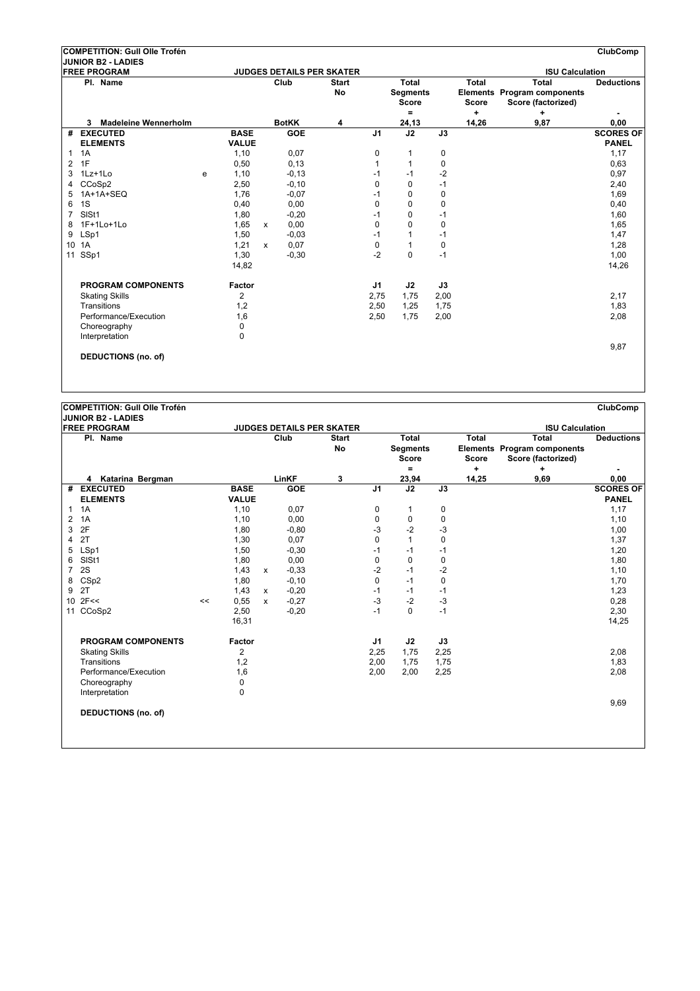|    | COMPETITION: Gull Olle Trofén                    |   |              |              |              |                                                  |                |                                 |             |              |                                                   | <b>ClubComp</b>   |
|----|--------------------------------------------------|---|--------------|--------------|--------------|--------------------------------------------------|----------------|---------------------------------|-------------|--------------|---------------------------------------------------|-------------------|
|    | <b>JUNIOR B2 - LADIES</b><br><b>FREE PROGRAM</b> |   |              |              |              |                                                  |                |                                 |             |              |                                                   |                   |
|    | Pl. Name                                         |   |              |              | Club         | <b>JUDGES DETAILS PER SKATER</b><br><b>Start</b> |                | Total                           |             | <b>Total</b> | <b>ISU Calculation</b><br><b>Total</b>            | <b>Deductions</b> |
|    |                                                  |   |              |              |              | No                                               |                | <b>Segments</b><br><b>Score</b> |             | <b>Score</b> | Elements Program components<br>Score (factorized) |                   |
|    |                                                  |   |              |              |              |                                                  |                | $\equiv$                        |             | ÷            | ÷                                                 |                   |
|    | <b>Madeleine Wennerholm</b><br>3                 |   |              |              | <b>BotKK</b> | 4                                                |                | 24,13                           |             | 14,26        | 9,87                                              | 0,00              |
|    | # EXECUTED                                       |   | <b>BASE</b>  |              | <b>GOE</b>   |                                                  | J <sub>1</sub> | J2                              | J3          |              |                                                   | <b>SCORES OF</b>  |
|    | <b>ELEMENTS</b>                                  |   | <b>VALUE</b> |              |              |                                                  |                |                                 |             |              |                                                   | <b>PANEL</b>      |
| 1  | 1A                                               |   | 1,10         |              | 0,07         |                                                  | 0              | 1                               | 0           |              |                                                   | 1,17              |
| 2  | 1F                                               |   | 0,50         |              | 0, 13        |                                                  | 1              | $\mathbf{1}$                    | 0           |              |                                                   | 0.63              |
| 3  | $1Lz+1Lo$                                        | e | 1,10         |              | $-0, 13$     |                                                  | $-1$           | $-1$                            | $-2$        |              |                                                   | 0,97              |
| 4  | CCoSp2                                           |   | 2,50         |              | $-0, 10$     |                                                  | $\Omega$       | $\Omega$                        | $-1$        |              |                                                   | 2,40              |
| 5  | 1A+1A+SEQ                                        |   | 1.76         |              | $-0.07$      |                                                  | $-1$           | $\Omega$                        | 0           |              |                                                   | 1,69              |
| 6  | 1S                                               |   | 0,40         |              | 0,00         |                                                  | $\Omega$       | $\Omega$                        | $\mathbf 0$ |              |                                                   | 0,40              |
| 7  | SIS <sub>t1</sub>                                |   | 1,80         |              | $-0,20$      |                                                  | $-1$           | $\Omega$                        | $-1$        |              |                                                   | 1,60              |
| 8  | 1F+1Lo+1Lo                                       |   | 1,65         | $\mathsf{x}$ | 0,00         |                                                  | 0              | $\Omega$                        | 0           |              |                                                   | 1,65              |
| 9  | LSp1                                             |   | 1,50         |              | $-0,03$      |                                                  | $-1$           | 1                               | $-1$        |              |                                                   | 1,47              |
| 10 | 1A                                               |   | 1,21         | $\mathsf{x}$ | 0,07         |                                                  | 0              | 1                               | $\mathbf 0$ |              |                                                   | 1,28              |
| 11 | SSp1                                             |   | 1,30         |              | $-0,30$      |                                                  | $-2$           | $\Omega$                        | $-1$        |              |                                                   | 1,00              |
|    |                                                  |   | 14,82        |              |              |                                                  |                |                                 |             |              |                                                   | 14,26             |
|    | <b>PROGRAM COMPONENTS</b>                        |   | Factor       |              |              |                                                  | J <sub>1</sub> | J2                              | J3          |              |                                                   |                   |
|    | <b>Skating Skills</b>                            |   | 2            |              |              |                                                  | 2,75           | 1.75                            | 2,00        |              |                                                   | 2,17              |
|    | Transitions                                      |   | 1,2          |              |              |                                                  | 2,50           | 1,25                            | 1,75        |              |                                                   | 1,83              |
|    | Performance/Execution                            |   | 1,6          |              |              |                                                  | 2,50           | 1,75                            | 2,00        |              |                                                   | 2,08              |
|    | Choreography                                     |   | $\mathbf 0$  |              |              |                                                  |                |                                 |             |              |                                                   |                   |
|    | Interpretation                                   |   | 0            |              |              |                                                  |                |                                 |             |              |                                                   |                   |
|    |                                                  |   |              |              |              |                                                  |                |                                 |             |              |                                                   | 9,87              |
|    | <b>DEDUCTIONS (no. of)</b>                       |   |              |              |              |                                                  |                |                                 |             |              |                                                   |                   |
|    |                                                  |   |              |              |              |                                                  |                |                                 |             |              |                                                   |                   |

| JUNIOR B2 - LADIES |  |
|--------------------|--|

|                | IJUNIUR DZ - LADIEJ<br><b>FREE PROGRAM</b> |    |                |              |            | <b>JUDGES DETAILS PER SKATER</b> |             |                                                 |             |                              | <b>ISU Calculation</b>                                            |                   |
|----------------|--------------------------------------------|----|----------------|--------------|------------|----------------------------------|-------------|-------------------------------------------------|-------------|------------------------------|-------------------------------------------------------------------|-------------------|
|                | Pl. Name                                   |    |                |              | Club       | <b>Start</b><br><b>No</b>        |             | <b>Total</b><br><b>Segments</b><br><b>Score</b> |             | <b>Total</b><br><b>Score</b> | <b>Total</b><br>Elements Program components<br>Score (factorized) | <b>Deductions</b> |
|                |                                            |    |                |              |            |                                  |             | $=$                                             |             | $\ddot{}$                    | ٠                                                                 |                   |
|                | Katarina Bergman<br>4                      |    |                |              | LinKF      | 3                                |             | 23,94                                           |             | 14,25                        | 9,69                                                              | 0,00              |
| #              | <b>EXECUTED</b>                            |    | <b>BASE</b>    |              | <b>GOE</b> |                                  | J1          | $\overline{J2}$                                 | J3          |                              |                                                                   | <b>SCORES OF</b>  |
|                | <b>ELEMENTS</b>                            |    | <b>VALUE</b>   |              |            |                                  |             |                                                 |             |                              |                                                                   | <b>PANEL</b>      |
| $\mathbf{1}$   | 1A                                         |    | 1,10           |              | 0,07       |                                  | 0           | 1                                               | 0           |                              |                                                                   | 1,17              |
| 2              | 1A                                         |    | 1,10           |              | 0,00       |                                  | $\mathbf 0$ | 0                                               | 0           |                              |                                                                   | 1,10              |
| 3              | 2F                                         |    | 1,80           |              | $-0.80$    |                                  | $-3$        | $-2$                                            | $-3$        |                              |                                                                   | 1,00              |
| 4              | 2T                                         |    | 1,30           |              | 0,07       |                                  | $\mathbf 0$ | $\mathbf{1}$                                    | $\mathbf 0$ |                              |                                                                   | 1,37              |
| 5              | LSp1                                       |    | 1,50           |              | $-0,30$    |                                  | $-1$        | $-1$                                            | $-1$        |                              |                                                                   | 1,20              |
| 6              | SISt1                                      |    | 1,80           |              | 0,00       |                                  | $\mathbf 0$ | $\mathbf 0$                                     | 0           |                              |                                                                   | 1,80              |
| $\overline{7}$ | 2S                                         |    | 1,43           | $\mathsf{x}$ | $-0,33$    |                                  | $-2$        | $-1$                                            | $-2$        |                              |                                                                   | 1,10              |
| 8              | CSp2                                       |    | 1,80           |              | $-0,10$    |                                  | 0           | $-1$                                            | $\mathbf 0$ |                              |                                                                   | 1,70              |
| 9              | 2T                                         |    | 1,43           | $\mathsf{x}$ | $-0,20$    |                                  | $-1$        | $-1$                                            | $-1$        |                              |                                                                   | 1,23              |
|                | $10$ 2F<<                                  | << | 0,55           | $\mathsf{x}$ | $-0,27$    |                                  | $-3$        | $-2$                                            | $-3$        |                              |                                                                   | 0,28              |
| 11             | CCoSp2                                     |    | 2,50           |              | $-0,20$    |                                  | $-1$        | $\Omega$                                        | $-1$        |                              |                                                                   | 2,30              |
|                |                                            |    | 16,31          |              |            |                                  |             |                                                 |             |                              |                                                                   | 14,25             |
|                | <b>PROGRAM COMPONENTS</b>                  |    | Factor         |              |            |                                  | J1          | J2                                              | J3          |                              |                                                                   |                   |
|                | <b>Skating Skills</b>                      |    | $\overline{2}$ |              |            |                                  | 2,25        | 1,75                                            | 2,25        |                              |                                                                   | 2,08              |
|                | Transitions                                |    | 1,2            |              |            |                                  | 2,00        | 1,75                                            | 1,75        |                              |                                                                   | 1,83              |
|                | Performance/Execution                      |    | 1,6            |              |            |                                  | 2,00        | 2,00                                            | 2,25        |                              |                                                                   | 2,08              |
|                | Choreography                               |    | 0              |              |            |                                  |             |                                                 |             |                              |                                                                   |                   |
|                | Interpretation                             |    | 0              |              |            |                                  |             |                                                 |             |                              |                                                                   |                   |
|                | <b>DEDUCTIONS (no. of)</b>                 |    |                |              |            |                                  |             |                                                 |             |                              |                                                                   | 9,69              |
|                |                                            |    |                |              |            |                                  |             |                                                 |             |                              |                                                                   |                   |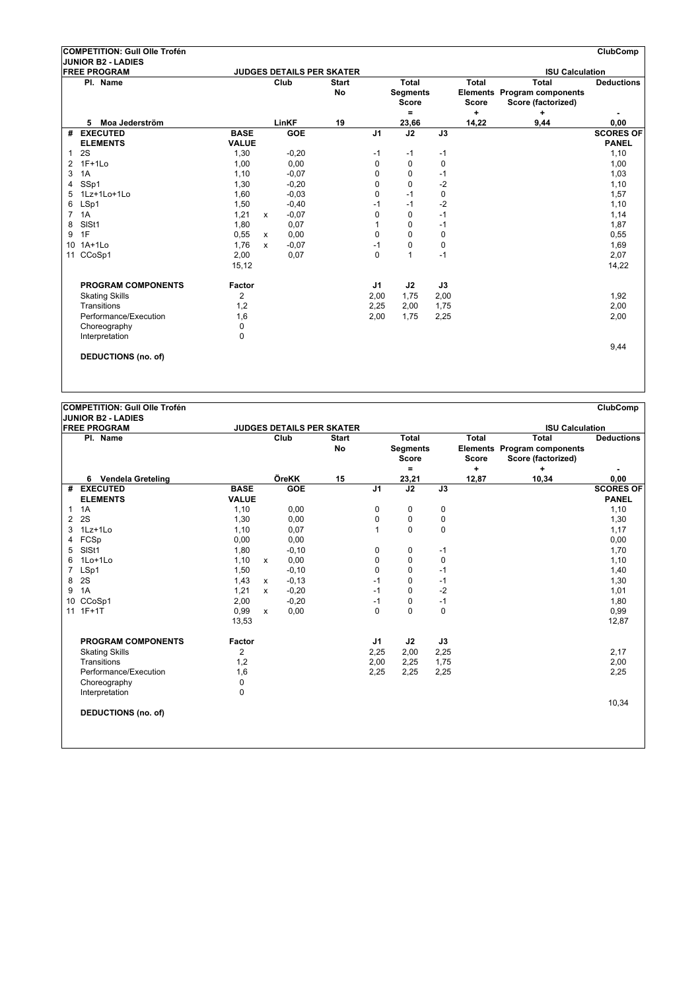|                | COMPETITION: Gull Olle Trofén |              |              |            |                                  |                |                                          |             |                              |                                                                   | ClubComp          |
|----------------|-------------------------------|--------------|--------------|------------|----------------------------------|----------------|------------------------------------------|-------------|------------------------------|-------------------------------------------------------------------|-------------------|
|                | <b>JUNIOR B2 - LADIES</b>     |              |              |            |                                  |                |                                          |             |                              |                                                                   |                   |
|                | <b>FREE PROGRAM</b>           |              |              |            | <b>JUDGES DETAILS PER SKATER</b> |                |                                          |             |                              | <b>ISU Calculation</b>                                            |                   |
|                | Pl. Name                      |              |              | Club       | <b>Start</b><br>No               |                | Total<br><b>Segments</b><br><b>Score</b> |             | <b>Total</b><br><b>Score</b> | <b>Total</b><br>Elements Program components<br>Score (factorized) | <b>Deductions</b> |
|                |                               |              |              |            |                                  |                | Ξ.                                       |             | ÷                            | ÷                                                                 |                   |
|                | Moa Jederström<br>5.          |              |              | LinKF      | 19                               |                | 23,66                                    |             | 14,22                        | 9,44                                                              | 0,00              |
|                | # EXECUTED                    | <b>BASE</b>  |              | <b>GOE</b> |                                  | J <sub>1</sub> | J2                                       | J3          |                              |                                                                   | <b>SCORES OF</b>  |
|                | <b>ELEMENTS</b>               | <b>VALUE</b> |              |            |                                  |                |                                          |             |                              |                                                                   | <b>PANEL</b>      |
| 1              | 2S                            | 1,30         |              | $-0,20$    |                                  | -1             | -1                                       | $-1$        |                              |                                                                   | 1,10              |
| $\overline{2}$ | $1F+1Lo$                      | 1,00         |              | 0,00       |                                  | 0              | $\mathbf 0$                              | $\mathbf 0$ |                              |                                                                   | 1,00              |
| 3              | 1A                            | 1,10         |              | $-0,07$    |                                  | 0              | 0                                        | $-1$        |                              |                                                                   | 1,03              |
| 4              | SSp1                          | 1,30         |              | $-0,20$    |                                  | 0              | $\Omega$                                 | $-2$        |                              |                                                                   | 1,10              |
| 5              | $1Lz+1Lo+1Lo$                 | 1,60         |              | $-0.03$    |                                  | 0              | $-1$                                     | 0           |                              |                                                                   | 1,57              |
| 6              | LSp1                          | 1,50         |              | $-0,40$    |                                  | $-1$           | $-1$                                     | $-2$        |                              |                                                                   | 1,10              |
| 7              | 1A                            | 1,21         | $\mathsf{x}$ | $-0.07$    |                                  | 0              | $\Omega$                                 | $-1$        |                              |                                                                   | 1,14              |
| 8              | SISt1                         | 1,80         |              | 0,07       |                                  |                | $\Omega$                                 | $-1$        |                              |                                                                   | 1,87              |
| 9              | 1F                            | 0,55         | $\mathsf{x}$ | 0,00       |                                  | $\mathbf 0$    | $\Omega$                                 | $\mathbf 0$ |                              |                                                                   | 0,55              |
| 10             | $1A+1Lo$                      | 1.76         | x            | $-0,07$    |                                  | $-1$           | $\Omega$                                 | $\mathbf 0$ |                              |                                                                   | 1,69              |
| 11             | CCoSp1                        | 2,00         |              | 0,07       |                                  | $\Omega$       | 1                                        | $-1$        |                              |                                                                   | 2,07              |
|                |                               | 15,12        |              |            |                                  |                |                                          |             |                              |                                                                   | 14,22             |
|                | <b>PROGRAM COMPONENTS</b>     | Factor       |              |            |                                  | J <sub>1</sub> | J2                                       | J3          |                              |                                                                   |                   |
|                | <b>Skating Skills</b>         | 2            |              |            |                                  | 2,00           | 1,75                                     | 2,00        |                              |                                                                   | 1,92              |
|                | Transitions                   | 1,2          |              |            |                                  | 2,25           | 2,00                                     | 1,75        |                              |                                                                   | 2,00              |
|                | Performance/Execution         | 1,6          |              |            |                                  | 2,00           | 1,75                                     | 2,25        |                              |                                                                   | 2,00              |
|                | Choreography                  | $\mathbf 0$  |              |            |                                  |                |                                          |             |                              |                                                                   |                   |
|                | Interpretation                | 0            |              |            |                                  |                |                                          |             |                              |                                                                   |                   |
|                |                               |              |              |            |                                  |                |                                          |             |                              |                                                                   | 9,44              |
|                | <b>DEDUCTIONS (no. of)</b>    |              |              |            |                                  |                |                                          |             |                              |                                                                   |                   |
|                |                               |              |              |            |                                  |                |                                          |             |                              |                                                                   |                   |

| JUNIOR B2 - LADIES |  |
|--------------------|--|
|                    |  |

|                | IJUNIUK BZ - LADIES<br><b>FREE PROGRAM</b> |               |              |            | <b>JUDGES DETAILS PER SKATER</b> |              |                                                 |             |                              | <b>ISU Calculation</b>                                            |                   |
|----------------|--------------------------------------------|---------------|--------------|------------|----------------------------------|--------------|-------------------------------------------------|-------------|------------------------------|-------------------------------------------------------------------|-------------------|
|                | Pl. Name                                   |               |              | Club       | <b>Start</b><br><b>No</b>        |              | <b>Total</b><br><b>Segments</b><br><b>Score</b> |             | <b>Total</b><br><b>Score</b> | <b>Total</b><br>Elements Program components<br>Score (factorized) | <b>Deductions</b> |
|                |                                            |               |              |            |                                  |              | $=$                                             |             | ÷                            | ٠                                                                 |                   |
|                | 6 Vendela Greteling                        |               |              | ÖreKK      | 15                               |              | 23,21                                           |             | 12,87                        | 10,34                                                             | 0,00              |
|                | # EXECUTED                                 | <b>BASE</b>   |              | <b>GOE</b> |                                  | J1           | $\overline{J2}$                                 | J3          |                              |                                                                   | <b>SCORES OF</b>  |
|                | <b>ELEMENTS</b>                            | <b>VALUE</b>  |              |            |                                  |              |                                                 |             |                              |                                                                   | <b>PANEL</b>      |
| $\mathbf{1}$   | 1A                                         | 1,10          |              | 0,00       |                                  | 0            | 0                                               | $\mathbf 0$ |                              |                                                                   | 1,10              |
| 2              | 2S                                         | 1,30          |              | 0,00       |                                  | 0            | 0                                               | 0           |                              |                                                                   | 1,30              |
| 3              | 1Lz+1Lo                                    | 1,10          |              | 0.07       |                                  | $\mathbf{1}$ | 0                                               | $\mathbf 0$ |                              |                                                                   | 1,17              |
| 4              | FCSp                                       | 0,00          |              | 0,00       |                                  |              |                                                 |             |                              |                                                                   | 0,00              |
| 5              | SISt1                                      | 1,80          |              | $-0, 10$   |                                  | 0            | 0                                               | $-1$        |                              |                                                                   | 1,70              |
| 6              | 1Lo+1Lo                                    | 1,10          | $\mathsf{x}$ | 0,00       |                                  | 0            | 0                                               | 0           |                              |                                                                   | 1,10              |
| $\overline{7}$ | LSp1                                       | 1,50          |              | $-0, 10$   |                                  | 0            | 0                                               | $-1$        |                              |                                                                   | 1,40              |
| 8              | 2S                                         | 1,43          | X            | $-0, 13$   |                                  | $-1$         | 0                                               | $-1$        |                              |                                                                   | 1,30              |
| 9              | 1A                                         | 1,21          | $\mathbf{x}$ | $-0,20$    |                                  | $-1$         | 0                                               | $-2$        |                              |                                                                   | 1,01              |
|                | 10 CCoSp1                                  | 2,00          |              | $-0,20$    |                                  | $-1$         | 0                                               | $-1$        |                              |                                                                   | 1,80              |
|                | 11 1F+1T                                   | 0,99          | $\mathsf{x}$ | 0,00       |                                  | $\mathbf 0$  | 0                                               | $\mathbf 0$ |                              |                                                                   | 0,99              |
|                |                                            | 13,53         |              |            |                                  |              |                                                 |             |                              |                                                                   | 12,87             |
|                | <b>PROGRAM COMPONENTS</b>                  | <b>Factor</b> |              |            |                                  | J1           | J2                                              | J3          |                              |                                                                   |                   |
|                | <b>Skating Skills</b>                      | 2             |              |            |                                  | 2,25         | 2,00                                            | 2,25        |                              |                                                                   | 2,17              |
|                | Transitions                                | 1,2           |              |            |                                  | 2,00         | 2,25                                            | 1,75        |                              |                                                                   | 2,00              |
|                | Performance/Execution                      | 1,6           |              |            |                                  | 2,25         | 2,25                                            | 2,25        |                              |                                                                   | 2,25              |
|                | Choreography                               | 0             |              |            |                                  |              |                                                 |             |                              |                                                                   |                   |
|                | Interpretation                             | 0             |              |            |                                  |              |                                                 |             |                              |                                                                   |                   |
|                | <b>DEDUCTIONS (no. of)</b>                 |               |              |            |                                  |              |                                                 |             |                              |                                                                   | 10,34             |
|                |                                            |               |              |            |                                  |              |                                                 |             |                              |                                                                   |                   |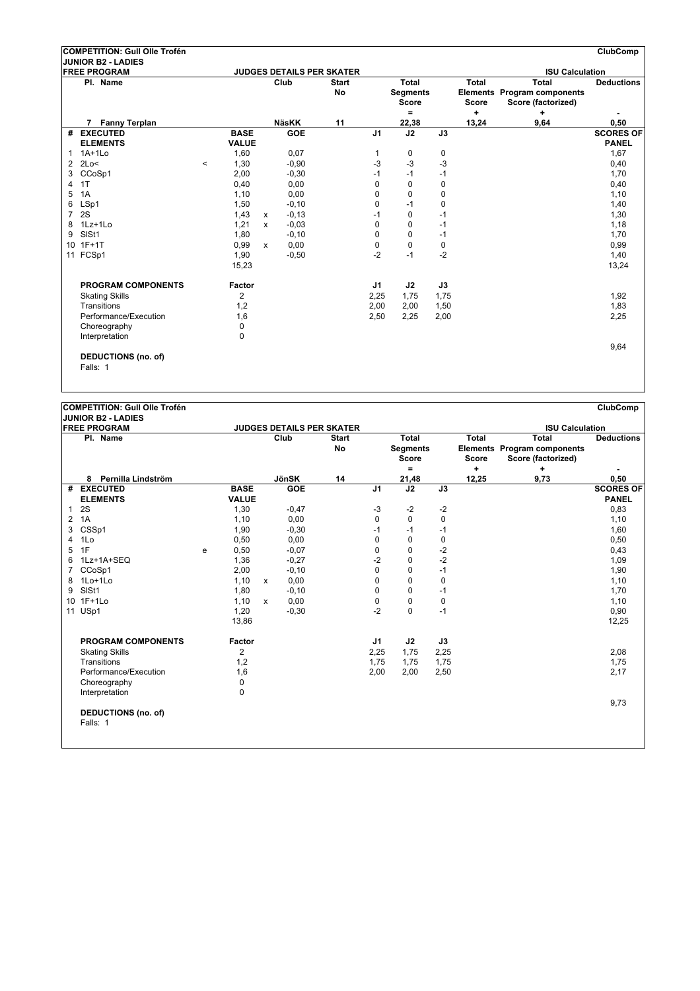|                 | <b>COMPETITION: Gull Olle Trofén</b>   |                 |              |            |                           |                |                                          |             |                              |                                                                   | <b>ClubComp</b>   |
|-----------------|----------------------------------------|-----------------|--------------|------------|---------------------------|----------------|------------------------------------------|-------------|------------------------------|-------------------------------------------------------------------|-------------------|
|                 | JUNIOR B2 - LADIES                     |                 |              |            |                           |                |                                          |             |                              |                                                                   |                   |
|                 | <b>FREE PROGRAM</b>                    |                 |              |            | JUDGES DETAILS PER SKATER |                |                                          |             |                              | <b>ISU Calculation</b>                                            |                   |
|                 | Pl. Name                               |                 |              | Club       | <b>Start</b><br><b>No</b> |                | Total<br><b>Segments</b><br><b>Score</b> |             | <b>Total</b><br><b>Score</b> | <b>Total</b><br>Elements Program components<br>Score (factorized) | <b>Deductions</b> |
|                 |                                        |                 |              |            |                           |                | $=$                                      |             | $\ddot{}$                    | ÷                                                                 |                   |
|                 | <b>Fanny Terplan</b>                   |                 |              | NäsKK      | 11                        |                | 22,38                                    |             | 13,24                        | 9,64                                                              | 0,50              |
| #               | <b>EXECUTED</b>                        | <b>BASE</b>     |              | <b>GOE</b> |                           | J <sub>1</sub> | J2                                       | J3          |                              |                                                                   | <b>SCORES OF</b>  |
|                 | <b>ELEMENTS</b>                        | <b>VALUE</b>    |              |            |                           |                |                                          |             |                              |                                                                   | <b>PANEL</b>      |
| $\mathbf{1}$    | $1A+1Lo$                               | 1,60            |              | 0,07       |                           | 1              | 0                                        | 0           |                              |                                                                   | 1,67              |
| $\overline{2}$  | 2Lo<                                   | 1,30<br>$\prec$ |              | $-0.90$    |                           | $-3$           | $-3$                                     | $-3$        |                              |                                                                   | 0,40              |
| 3               | CCoSp1                                 | 2,00            |              | $-0,30$    |                           | $-1$           | $-1$                                     | $-1$        |                              |                                                                   | 1,70              |
| 4               | 1T                                     | 0,40            |              | 0,00       |                           | 0              | $\Omega$                                 | $\mathbf 0$ |                              |                                                                   | 0,40              |
| 5               | 1A                                     | 1,10            |              | 0,00       |                           | 0              | $\mathbf 0$                              | $\mathbf 0$ |                              |                                                                   | 1,10              |
| 6               | LSp1                                   | 1,50            |              | $-0, 10$   |                           | 0              | $-1$                                     | $\mathbf 0$ |                              |                                                                   | 1,40              |
| 7               | 2S                                     | 1,43            | $\mathsf{x}$ | $-0, 13$   |                           | $-1$           | $\mathbf 0$                              | $-1$        |                              |                                                                   | 1,30              |
| 8               | 1Lz+1Lo                                | 1,21            | $\mathsf{x}$ | $-0.03$    |                           | 0              | $\Omega$                                 | $-1$        |                              |                                                                   | 1,18              |
| 9               | SISt1                                  | 1,80            |              | $-0, 10$   |                           | 0              | $\Omega$                                 | $-1$        |                              |                                                                   | 1,70              |
| 10 <sup>1</sup> | $1F+1T$                                | 0,99            | $\mathsf{x}$ | 0,00       |                           | 0              | $\Omega$                                 | $\mathbf 0$ |                              |                                                                   | 0,99              |
|                 | 11 FCSp1                               | 1,90            |              | $-0,50$    |                           | $-2$           | $-1$                                     | $-2$        |                              |                                                                   | 1,40              |
|                 |                                        | 15,23           |              |            |                           |                |                                          |             |                              |                                                                   | 13,24             |
|                 | <b>PROGRAM COMPONENTS</b>              | Factor          |              |            |                           | J1             | J2                                       | J3          |                              |                                                                   |                   |
|                 | <b>Skating Skills</b>                  | $\overline{2}$  |              |            |                           | 2,25           | 1,75                                     | 1,75        |                              |                                                                   | 1,92              |
|                 | Transitions                            | 1,2             |              |            |                           | 2,00           | 2,00                                     | 1,50        |                              |                                                                   | 1,83              |
|                 | Performance/Execution                  | 1,6             |              |            |                           | 2,50           | 2,25                                     | 2,00        |                              |                                                                   | 2,25              |
|                 | Choreography                           | $\mathbf 0$     |              |            |                           |                |                                          |             |                              |                                                                   |                   |
|                 | Interpretation                         | 0               |              |            |                           |                |                                          |             |                              |                                                                   |                   |
|                 | <b>DEDUCTIONS</b> (no. of)<br>Falls: 1 |                 |              |            |                           |                |                                          |             |                              |                                                                   | 9,64              |

|                 | <b>JUNIOR B2 - LADIES</b>       |   |                |              |              |                                  |                |                                                 |             |                       |                                                                          |                   |
|-----------------|---------------------------------|---|----------------|--------------|--------------|----------------------------------|----------------|-------------------------------------------------|-------------|-----------------------|--------------------------------------------------------------------------|-------------------|
|                 | <b>FREE PROGRAM</b>             |   |                |              |              | <b>JUDGES DETAILS PER SKATER</b> |                |                                                 |             |                       | <b>ISU Calculation</b>                                                   |                   |
|                 | Pl. Name                        |   |                |              | Club         | <b>Start</b><br>No               |                | <b>Total</b><br><b>Segments</b><br><b>Score</b> |             | Total<br><b>Score</b> | <b>Total</b><br><b>Elements Program components</b><br>Score (factorized) | <b>Deductions</b> |
|                 |                                 |   |                |              |              |                                  |                | $\equiv$                                        |             | +                     | ÷                                                                        |                   |
|                 | Pernilla Lindström<br>8         |   |                |              | <b>JönSK</b> | 14                               |                | 21,48                                           |             | 12,25                 | 9,73                                                                     | 0,50              |
| #               | <b>EXECUTED</b>                 |   | <b>BASE</b>    |              | <b>GOE</b>   |                                  | J <sub>1</sub> | J2                                              | J3          |                       |                                                                          | <b>SCORES OF</b>  |
|                 | <b>ELEMENTS</b>                 |   | <b>VALUE</b>   |              |              |                                  |                |                                                 |             |                       |                                                                          | <b>PANEL</b>      |
| 1               | 2S                              |   | 1,30           |              | $-0,47$      |                                  | $-3$           | $-2$                                            | $-2$        |                       |                                                                          | 0,83              |
| 2               | 1A                              |   | 1,10           |              | 0,00         |                                  | $\mathbf 0$    | $\mathbf 0$                                     | $\mathbf 0$ |                       |                                                                          | 1,10              |
| 3               | CSSp1                           |   | 1,90           |              | $-0,30$      |                                  | $-1$           | $-1$                                            | $-1$        |                       |                                                                          | 1,60              |
| 4               | 1Lo                             |   | 0,50           |              | 0.00         |                                  | $\mathbf 0$    | $\mathbf 0$                                     | $\mathbf 0$ |                       |                                                                          | 0,50              |
| 5               | 1F                              | e | 0,50           |              | $-0.07$      |                                  | 0              | 0                                               | $-2$        |                       |                                                                          | 0,43              |
| 6               | 1Lz+1A+SEQ                      |   | 1,36           |              | $-0,27$      |                                  | $-2$           | 0                                               | $-2$        |                       |                                                                          | 1,09              |
| 7               | CCoSp1                          |   | 2,00           |              | $-0,10$      |                                  | 0              | 0                                               | $-1$        |                       |                                                                          | 1,90              |
| 8               | $1$ Lo $+1$ Lo                  |   | 1,10           | $\mathsf{x}$ | 0,00         |                                  | 0              | 0                                               | $\mathbf 0$ |                       |                                                                          | 1,10              |
| 9               | SISt1                           |   | 1,80           |              | $-0, 10$     |                                  | 0              | 0                                               | $-1$        |                       |                                                                          | 1,70              |
| 10 <sup>1</sup> | $1F+1Lo$                        |   | 1,10           | $\mathsf{x}$ | 0.00         |                                  | 0              | 0                                               | $\mathbf 0$ |                       |                                                                          | 1,10              |
| 11              | USp1                            |   | 1,20           |              | $-0,30$      |                                  | $-2$           | $\mathbf 0$                                     | $-1$        |                       |                                                                          | 0,90              |
|                 |                                 |   | 13,86          |              |              |                                  |                |                                                 |             |                       |                                                                          | 12,25             |
|                 | <b>PROGRAM COMPONENTS</b>       |   | Factor         |              |              |                                  | J1             | J2                                              | J3          |                       |                                                                          |                   |
|                 | <b>Skating Skills</b>           |   | $\overline{2}$ |              |              |                                  | 2,25           | 1,75                                            | 2,25        |                       |                                                                          | 2,08              |
|                 | Transitions                     |   | 1,2            |              |              |                                  | 1,75           | 1,75                                            | 1,75        |                       |                                                                          | 1,75              |
|                 | Performance/Execution           |   | 1,6            |              |              |                                  | 2,00           | 2,00                                            | 2,50        |                       |                                                                          | 2,17              |
|                 | Choreography                    |   | 0              |              |              |                                  |                |                                                 |             |                       |                                                                          |                   |
|                 | Interpretation                  |   | 0              |              |              |                                  |                |                                                 |             |                       |                                                                          |                   |
|                 | DEDUCTIONS (no. of)<br>Falls: 1 |   |                |              |              |                                  |                |                                                 |             |                       |                                                                          | 9,73              |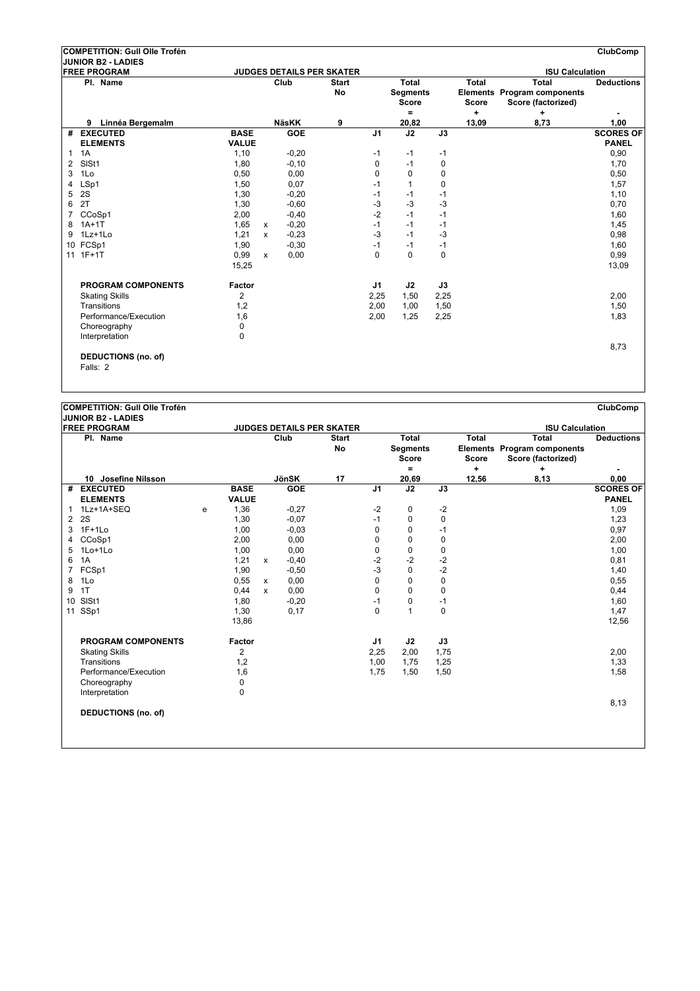|                | COMPETITION: Gull Olle Trofén          |                |              |              |                                  |                |                                                 |             |                                   |                                                                        | <b>ClubComp</b>   |
|----------------|----------------------------------------|----------------|--------------|--------------|----------------------------------|----------------|-------------------------------------------------|-------------|-----------------------------------|------------------------------------------------------------------------|-------------------|
|                | <b>JUNIOR B2 - LADIES</b>              |                |              |              |                                  |                |                                                 |             |                                   |                                                                        |                   |
|                | <b>FREE PROGRAM</b>                    |                |              |              | <b>JUDGES DETAILS PER SKATER</b> |                |                                                 |             |                                   | <b>ISU Calculation</b>                                                 |                   |
|                | Pl. Name                               |                |              | Club         | <b>Start</b><br><b>No</b>        |                | Total<br><b>Segments</b><br><b>Score</b><br>$=$ |             | <b>Total</b><br><b>Score</b><br>÷ | <b>Total</b><br>Elements Program components<br>Score (factorized)<br>÷ | <b>Deductions</b> |
|                | Linnéa Bergemalm<br>9                  |                |              | <b>NäsKK</b> | 9                                |                | 20,82                                           |             | 13,09                             | 8,73                                                                   | 1,00              |
| #              | <b>EXECUTED</b>                        | <b>BASE</b>    |              | <b>GOE</b>   |                                  | J <sub>1</sub> | J2                                              | J3          |                                   |                                                                        | <b>SCORES OF</b>  |
|                | <b>ELEMENTS</b>                        | <b>VALUE</b>   |              |              |                                  |                |                                                 |             |                                   |                                                                        | <b>PANEL</b>      |
| 1              | 1A                                     | 1,10           |              | $-0,20$      |                                  | $-1$           | $-1$                                            | $-1$        |                                   |                                                                        | 0,90              |
| $\overline{2}$ | SISt1                                  | 1,80           |              | $-0, 10$     |                                  | 0              | $-1$                                            | 0           |                                   |                                                                        | 1,70              |
| 3              | 1Lo                                    | 0,50           |              | 0,00         |                                  | 0              | $\mathbf 0$                                     | $\mathbf 0$ |                                   |                                                                        | 0,50              |
| 4              | LSp1                                   | 1,50           |              | 0,07         |                                  | $-1$           | 1                                               | 0           |                                   |                                                                        | 1,57              |
| 5              | 2S                                     | 1,30           |              | $-0,20$      |                                  | $-1$           | -1                                              | $-1$        |                                   |                                                                        | 1,10              |
| 6              | 2T                                     | 1,30           |              | $-0,60$      |                                  | $-3$           | -3                                              | $-3$        |                                   |                                                                        | 0,70              |
| 7              | CCoSp1                                 | 2,00           |              | $-0,40$      |                                  | $-2$           | $-1$                                            | $-1$        |                                   |                                                                        | 1,60              |
| 8              | $1A+1T$                                | 1,65           | $\mathsf{x}$ | $-0,20$      |                                  | $-1$           | $-1$                                            | $-1$        |                                   |                                                                        | 1,45              |
| 9              | 1Lz+1Lo                                | 1,21           | $\mathsf{x}$ | $-0,23$      |                                  | $-3$           | $-1$                                            | $-3$        |                                   |                                                                        | 0,98              |
| 10             | FCSp1                                  | 1,90           |              | $-0,30$      |                                  | $-1$           | $-1$                                            | $-1$        |                                   |                                                                        | 1,60              |
|                | 11 1F+1T                               | 0,99           | X            | 0,00         |                                  | $\mathbf 0$    | $\Omega$                                        | $\mathbf 0$ |                                   |                                                                        | 0,99              |
|                |                                        | 15,25          |              |              |                                  |                |                                                 |             |                                   |                                                                        | 13,09             |
|                | <b>PROGRAM COMPONENTS</b>              | Factor         |              |              |                                  | J1             | J2                                              | J3          |                                   |                                                                        |                   |
|                | <b>Skating Skills</b>                  | $\overline{2}$ |              |              |                                  | 2,25           | 1,50                                            | 2,25        |                                   |                                                                        | 2,00              |
|                | Transitions                            | 1,2            |              |              |                                  | 2,00           | 1,00                                            | 1,50        |                                   |                                                                        | 1,50              |
|                | Performance/Execution                  | 1,6            |              |              |                                  | 2,00           | 1,25                                            | 2,25        |                                   |                                                                        | 1,83              |
|                | Choreography                           | $\Omega$       |              |              |                                  |                |                                                 |             |                                   |                                                                        |                   |
|                | Interpretation                         | 0              |              |              |                                  |                |                                                 |             |                                   |                                                                        |                   |
|                | <b>DEDUCTIONS (no. of)</b><br>Falls: 2 |                |              |              |                                  |                |                                                 |             |                                   |                                                                        | 8,73              |

|                 | <b>JUNIOR B2 - LADIES</b>              |   |               |              |                            |                                  |                |                                          |             |                              |                                                                   |                          |
|-----------------|----------------------------------------|---|---------------|--------------|----------------------------|----------------------------------|----------------|------------------------------------------|-------------|------------------------------|-------------------------------------------------------------------|--------------------------|
|                 | <b>FREE PROGRAM</b>                    |   |               |              |                            | <b>JUDGES DETAILS PER SKATER</b> |                |                                          |             |                              | <b>ISU Calculation</b>                                            |                          |
|                 | Pl. Name                               |   |               |              | Club                       | <b>Start</b><br><b>No</b>        |                | Total<br><b>Segments</b><br><b>Score</b> |             | <b>Total</b><br><b>Score</b> | <b>Total</b><br>Elements Program components<br>Score (factorized) | <b>Deductions</b>        |
|                 |                                        |   |               |              |                            |                                  |                | ۰                                        |             | ÷                            | ٠                                                                 | ٠                        |
| #               | 10 Josefine Nilsson<br><b>EXECUTED</b> |   | <b>BASE</b>   |              | <b>JönSK</b><br><b>GOE</b> | 17                               | J <sub>1</sub> | 20,69<br>$\overline{J2}$                 | J3          | 12,56                        | 8,13                                                              | 0,00<br><b>SCORES OF</b> |
|                 | <b>ELEMENTS</b>                        |   | <b>VALUE</b>  |              |                            |                                  |                |                                          |             |                              |                                                                   | <b>PANEL</b>             |
| 1               | 1Lz+1A+SEQ                             |   | 1,36          |              | $-0,27$                    |                                  | $-2$           | 0                                        | $-2$        |                              |                                                                   | 1,09                     |
| 2               | 2S                                     | e | 1,30          |              | $-0.07$                    |                                  | $-1$           | 0                                        | $\mathbf 0$ |                              |                                                                   | 1,23                     |
| 3               | $1F+1Lo$                               |   | 1,00          |              | $-0.03$                    |                                  | 0              | 0                                        | $-1$        |                              |                                                                   | 0,97                     |
| 4               | CCoSp1                                 |   | 2,00          |              | 0,00                       |                                  | 0              | 0                                        | 0           |                              |                                                                   | 2,00                     |
| 5               | 1Lo+1Lo                                |   | 1,00          |              | 0,00                       |                                  | 0              | 0                                        | 0           |                              |                                                                   | 1,00                     |
| 6               | 1A                                     |   | 1,21          | x            | $-0,40$                    |                                  | $-2$           | $-2$                                     | $-2$        |                              |                                                                   | 0,81                     |
| $\overline{7}$  | FCSp1                                  |   | 1,90          |              | $-0,50$                    |                                  | -3             | 0                                        | $-2$        |                              |                                                                   | 1,40                     |
| 8               | 1Lo                                    |   | 0,55          | $\mathsf{x}$ | 0,00                       |                                  | 0              | 0                                        | 0           |                              |                                                                   | 0,55                     |
| 9               | 1T                                     |   | 0,44          | X            | 0,00                       |                                  | $\mathbf 0$    | 0                                        | $\mathbf 0$ |                              |                                                                   | 0,44                     |
| 10 <sup>°</sup> | SISt1                                  |   | 1,80          |              | $-0,20$                    |                                  | $-1$           | 0                                        | $-1$        |                              |                                                                   | 1,60                     |
| 11              | SSp1                                   |   | 1,30          |              | 0,17                       |                                  | 0              | $\mathbf{1}$                             | $\mathbf 0$ |                              |                                                                   | 1,47                     |
|                 |                                        |   | 13,86         |              |                            |                                  |                |                                          |             |                              |                                                                   | 12,56                    |
|                 | <b>PROGRAM COMPONENTS</b>              |   | <b>Factor</b> |              |                            |                                  | J1             | J2                                       | J3          |                              |                                                                   |                          |
|                 | <b>Skating Skills</b>                  |   | 2             |              |                            |                                  | 2,25           | 2,00                                     | 1,75        |                              |                                                                   | 2,00                     |
|                 | Transitions                            |   | 1,2           |              |                            |                                  | 1,00           | 1,75                                     | 1,25        |                              |                                                                   | 1,33                     |
|                 | Performance/Execution                  |   | 1,6           |              |                            |                                  | 1,75           | 1,50                                     | 1,50        |                              |                                                                   | 1,58                     |
|                 | Choreography                           |   | 0             |              |                            |                                  |                |                                          |             |                              |                                                                   |                          |
|                 | Interpretation                         |   | 0             |              |                            |                                  |                |                                          |             |                              |                                                                   |                          |
|                 | <b>DEDUCTIONS (no. of)</b>             |   |               |              |                            |                                  |                |                                          |             |                              |                                                                   | 8,13                     |
|                 |                                        |   |               |              |                            |                                  |                |                                          |             |                              |                                                                   |                          |
|                 |                                        |   |               |              |                            |                                  |                |                                          |             |                              |                                                                   |                          |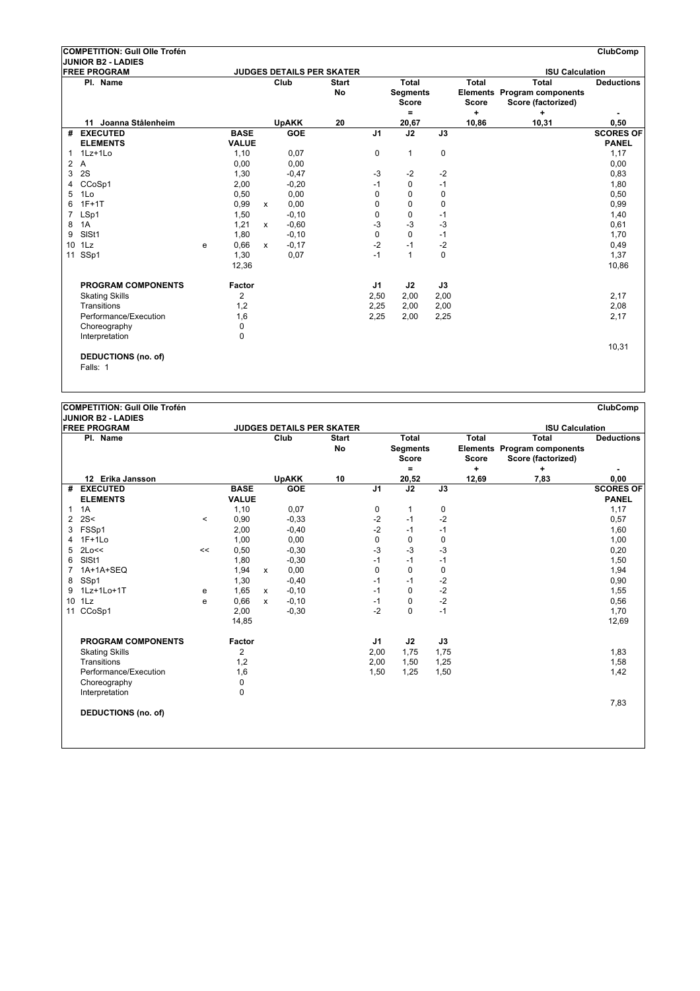|    | COMPETITION: Gull Olle Trofén          |   |                |              |              |                                  |                |                                          |             |                              |                                                                          | ClubComp          |
|----|----------------------------------------|---|----------------|--------------|--------------|----------------------------------|----------------|------------------------------------------|-------------|------------------------------|--------------------------------------------------------------------------|-------------------|
|    | JUNIOR B2 - LADIES                     |   |                |              |              |                                  |                |                                          |             |                              |                                                                          |                   |
|    | <b>FREE PROGRAM</b>                    |   |                |              |              | <b>JUDGES DETAILS PER SKATER</b> |                |                                          |             |                              | <b>ISU Calculation</b>                                                   |                   |
|    | Pl. Name                               |   |                |              | Club         | <b>Start</b><br><b>No</b>        |                | Total<br><b>Segments</b><br><b>Score</b> |             | <b>Total</b><br><b>Score</b> | <b>Total</b><br><b>Elements Program components</b><br>Score (factorized) | <b>Deductions</b> |
|    | 11 Joanna Stålenheim                   |   |                |              | <b>UpAKK</b> | 20                               |                | $=$<br>20,67                             |             | $\ddot{}$<br>10,86           | ÷<br>10,31                                                               | 0,50              |
|    | # EXECUTED                             |   | <b>BASE</b>    |              | <b>GOE</b>   |                                  | J <sub>1</sub> | J2                                       | J3          |                              |                                                                          | <b>SCORES OF</b>  |
|    | <b>ELEMENTS</b>                        |   | <b>VALUE</b>   |              |              |                                  |                |                                          |             |                              |                                                                          | <b>PANEL</b>      |
| 1  | 1Lz+1Lo                                |   | 1,10           |              | 0,07         |                                  | $\mathbf 0$    | $\mathbf{1}$                             | $\mathbf 0$ |                              |                                                                          | 1,17              |
| 2  | A                                      |   | 0,00           |              | 0,00         |                                  |                |                                          |             |                              |                                                                          | 0,00              |
| 3  | 2S                                     |   | 1,30           |              | $-0,47$      |                                  | $-3$           | $-2$                                     | $-2$        |                              |                                                                          | 0,83              |
| 4  | CCoSp1                                 |   | 2,00           |              | $-0,20$      |                                  | $-1$           | $\mathbf 0$                              | $-1$        |                              |                                                                          | 1,80              |
| 5  | 1Lo                                    |   | 0,50           |              | 0,00         |                                  | 0              | 0                                        | 0           |                              |                                                                          | 0,50              |
| 6  | $1F+1T$                                |   | 0,99           | $\mathsf{x}$ | 0,00         |                                  | 0              | $\Omega$                                 | 0           |                              |                                                                          | 0,99              |
| 7  | LSp1                                   |   | 1,50           |              | $-0, 10$     |                                  | 0              | 0                                        | $-1$        |                              |                                                                          | 1,40              |
| 8  | 1A                                     |   | 1,21           | $\mathsf{x}$ | $-0,60$      |                                  | -3             | $-3$                                     | -3          |                              |                                                                          | 0,61              |
| 9  | SISt1                                  |   | 1,80           |              | $-0, 10$     |                                  | 0              | $\Omega$                                 | $-1$        |                              |                                                                          | 1,70              |
| 10 | 1Lz                                    | e | 0,66           | $\mathsf{x}$ | $-0,17$      |                                  | $-2$           | $-1$                                     | $-2$        |                              |                                                                          | 0,49              |
| 11 | SSp1                                   |   | 1,30           |              | 0,07         |                                  | $-1$           | 1                                        | $\Omega$    |                              |                                                                          | 1,37              |
|    |                                        |   | 12,36          |              |              |                                  |                |                                          |             |                              |                                                                          | 10,86             |
|    | <b>PROGRAM COMPONENTS</b>              |   | Factor         |              |              |                                  | J1             | J2                                       | J3          |                              |                                                                          |                   |
|    | <b>Skating Skills</b>                  |   | $\overline{2}$ |              |              |                                  | 2,50           | 2,00                                     | 2,00        |                              |                                                                          | 2,17              |
|    | Transitions                            |   | 1,2            |              |              |                                  | 2,25           | 2,00                                     | 2,00        |                              |                                                                          | 2,08              |
|    | Performance/Execution                  |   | 1,6            |              |              |                                  | 2,25           | 2,00                                     | 2,25        |                              |                                                                          | 2,17              |
|    | Choreography                           |   | $\Omega$       |              |              |                                  |                |                                          |             |                              |                                                                          |                   |
|    | Interpretation                         |   | 0              |              |              |                                  |                |                                          |             |                              |                                                                          |                   |
|    | <b>DEDUCTIONS (no. of)</b><br>Falls: 1 |   |                |              |              |                                  |                |                                          |             |                              |                                                                          | 10,31             |

|                 | <b>FREE PROGRAM</b>                 |         |                |              | <b>JUDGES DETAILS PER SKATER</b> |                    |                |                                                 |             |                              | <b>ISU Calculation</b>                                                   |                                  |
|-----------------|-------------------------------------|---------|----------------|--------------|----------------------------------|--------------------|----------------|-------------------------------------------------|-------------|------------------------------|--------------------------------------------------------------------------|----------------------------------|
|                 | Pl. Name                            |         |                |              | Club                             | <b>Start</b><br>No |                | <b>Total</b><br><b>Segments</b><br><b>Score</b> |             | <b>Total</b><br><b>Score</b> | <b>Total</b><br><b>Elements Program components</b><br>Score (factorized) | <b>Deductions</b>                |
|                 |                                     |         |                |              |                                  |                    |                | $\equiv$                                        |             | ÷                            | ÷                                                                        |                                  |
| #               | 12 Erika Jansson<br><b>EXECUTED</b> |         | <b>BASE</b>    |              | <b>UpAKK</b><br><b>GOE</b>       | 10                 | J <sub>1</sub> | 20,52<br>J2                                     | J3          | 12,69                        | 7,83                                                                     | 0,00                             |
|                 | <b>ELEMENTS</b>                     |         | <b>VALUE</b>   |              |                                  |                    |                |                                                 |             |                              |                                                                          | <b>SCORES OF</b><br><b>PANEL</b> |
| 1               | 1A                                  |         | 1,10           |              | 0,07                             |                    | 0              | 1                                               | 0           |                              |                                                                          | 1,17                             |
| $\overline{2}$  | 2S<                                 | $\,<\,$ | 0,90           |              | $-0.33$                          |                    | $-2$           | $-1$                                            | $-2$        |                              |                                                                          | 0,57                             |
| 3               | FSSp1                               |         | 2,00           |              | $-0,40$                          |                    | $-2$           | $-1$                                            | $-1$        |                              |                                                                          | 1,60                             |
|                 | $1F+1Lo$                            |         | 1,00           |              | 0,00                             |                    | 0              | $\mathbf 0$                                     | $\mathbf 0$ |                              |                                                                          | 1,00                             |
| 5               | 2Lo<<                               | <<      | 0,50           |              | $-0,30$                          |                    | $-3$           | $-3$                                            | $-3$        |                              |                                                                          | 0,20                             |
| 6               | SISt1                               |         | 1,80           |              | $-0,30$                          |                    | $-1$           | $-1$                                            | $-1$        |                              |                                                                          | 1,50                             |
| $\overline{7}$  | 1A+1A+SEQ                           |         | 1,94           | x            | 0,00                             |                    | $\mathbf 0$    | $\mathbf 0$                                     | $\mathbf 0$ |                              |                                                                          | 1,94                             |
| 8               | SSp1                                |         | 1,30           |              | $-0,40$                          |                    | $-1$           | $-1$                                            | $-2$        |                              |                                                                          | 0,90                             |
| 9               | 1Lz+1Lo+1T                          | e       | 1,65           | $\mathsf{x}$ | $-0,10$                          |                    | $-1$           | 0                                               | $-2$        |                              |                                                                          | 1,55                             |
| 10 <sup>°</sup> | 1Lz                                 | e       | 0,66           | X            | $-0,10$                          |                    | $-1$           | 0                                               | $-2$        |                              |                                                                          | 0,56                             |
| 11              | CCoSp1                              |         | 2,00           |              | $-0,30$                          |                    | $-2$           | $\mathbf 0$                                     | $-1$        |                              |                                                                          | 1,70                             |
|                 |                                     |         | 14,85          |              |                                  |                    |                |                                                 |             |                              |                                                                          | 12,69                            |
|                 | PROGRAM COMPONENTS                  |         | <b>Factor</b>  |              |                                  |                    | J1             | J2                                              | J3          |                              |                                                                          |                                  |
|                 | <b>Skating Skills</b>               |         | $\overline{2}$ |              |                                  |                    | 2,00           | 1,75                                            | 1,75        |                              |                                                                          | 1,83                             |
|                 | Transitions                         |         | 1,2            |              |                                  |                    | 2,00           | 1,50                                            | 1,25        |                              |                                                                          | 1,58                             |
|                 | Performance/Execution               |         | 1,6            |              |                                  |                    | 1,50           | 1,25                                            | 1,50        |                              |                                                                          | 1,42                             |
|                 | Choreography                        |         | 0              |              |                                  |                    |                |                                                 |             |                              |                                                                          |                                  |
|                 | Interpretation                      |         | 0              |              |                                  |                    |                |                                                 |             |                              |                                                                          |                                  |
|                 |                                     |         |                |              |                                  |                    |                |                                                 |             |                              |                                                                          | 7,83                             |
|                 | <b>DEDUCTIONS (no. of)</b>          |         |                |              |                                  |                    |                |                                                 |             |                              |                                                                          |                                  |
|                 |                                     |         |                |              |                                  |                    |                |                                                 |             |                              |                                                                          |                                  |
|                 |                                     |         |                |              |                                  |                    |                |                                                 |             |                              |                                                                          |                                  |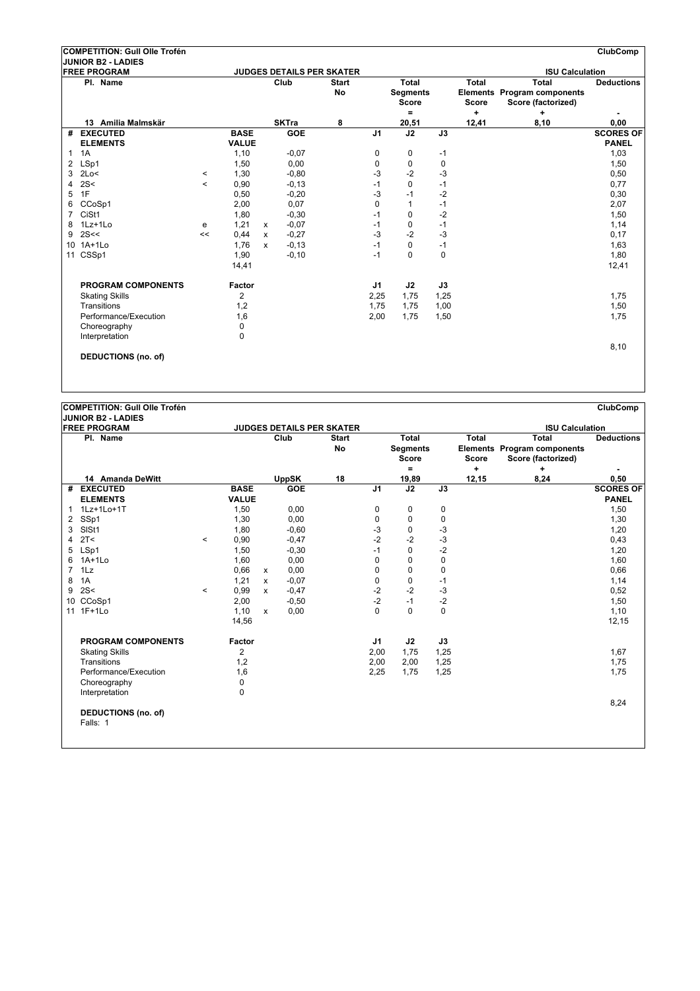|                 | COMPETITION: Gull Olle Trofén                    |         |              |              |              |                                  |                |                                          |          |                              |                                                                   | <b>ClubComp</b>   |
|-----------------|--------------------------------------------------|---------|--------------|--------------|--------------|----------------------------------|----------------|------------------------------------------|----------|------------------------------|-------------------------------------------------------------------|-------------------|
|                 | <b>JUNIOR B2 - LADIES</b><br><b>FREE PROGRAM</b> |         |              |              |              | <b>JUDGES DETAILS PER SKATER</b> |                |                                          |          |                              | <b>ISU Calculation</b>                                            |                   |
|                 | Pl. Name                                         |         |              |              | Club         | <b>Start</b><br>No               |                | Total<br><b>Segments</b><br><b>Score</b> |          | <b>Total</b><br><b>Score</b> | <b>Total</b><br>Elements Program components<br>Score (factorized) | <b>Deductions</b> |
|                 |                                                  |         |              |              |              |                                  |                | $\equiv$                                 |          | $\ddot{}$                    | ÷                                                                 |                   |
|                 | 13 Amilia Malmskär                               |         |              |              | <b>SKTra</b> | 8                                |                | 20,51                                    |          | 12,41                        | 8,10                                                              | 0,00              |
| #               | <b>EXECUTED</b>                                  |         | <b>BASE</b>  |              | <b>GOE</b>   |                                  | J <sub>1</sub> | J2                                       | J3       |                              |                                                                   | <b>SCORES OF</b>  |
|                 | <b>ELEMENTS</b>                                  |         | <b>VALUE</b> |              |              |                                  |                |                                          |          |                              |                                                                   | <b>PANEL</b>      |
| 1               | 1A                                               |         | 1,10         |              | $-0,07$      |                                  | 0              | 0                                        | $-1$     |                              |                                                                   | 1,03              |
| 2               | LSp1                                             |         | 1,50         |              | 0,00         |                                  | 0              | $\mathbf 0$                              | 0        |                              |                                                                   | 1,50              |
| 3               | 2Lo<                                             | $\,<\,$ | 1,30         |              | $-0.80$      |                                  | -3             | $-2$                                     | -3       |                              |                                                                   | 0,50              |
| 4               | 2S<                                              | $\,<\,$ | 0,90         |              | $-0,13$      |                                  | $-1$           | $\Omega$                                 | $-1$     |                              |                                                                   | 0,77              |
| 5               | 1F                                               |         | 0,50         |              | $-0,20$      |                                  | -3             | $-1$                                     | $-2$     |                              |                                                                   | 0,30              |
| 6               | CCoSp1                                           |         | 2,00         |              | 0,07         |                                  | $\mathbf 0$    | $\mathbf{1}$                             | $-1$     |                              |                                                                   | 2,07              |
| 7               | CiSt1                                            |         | 1,80         |              | $-0,30$      |                                  | $-1$           | $\Omega$                                 | $-2$     |                              |                                                                   | 1,50              |
| 8               | $1Lz+1Lo$                                        | e       | 1,21         | $\mathsf{x}$ | $-0.07$      |                                  | $-1$           | 0                                        | $-1$     |                              |                                                                   | 1,14              |
| 9               | 2S<<                                             | <<      | 0.44         | X            | $-0,27$      |                                  | $-3$           | $-2$                                     | $-3$     |                              |                                                                   | 0,17              |
| 10 <sup>1</sup> | $1A+1L0$                                         |         | 1,76         | $\mathbf{x}$ | $-0,13$      |                                  | $-1$           | $\Omega$                                 | $-1$     |                              |                                                                   | 1,63              |
|                 | 11 CSSp1                                         |         | 1,90         |              | $-0,10$      |                                  | $-1$           | $\Omega$                                 | $\Omega$ |                              |                                                                   | 1,80              |
|                 |                                                  |         | 14,41        |              |              |                                  |                |                                          |          |                              |                                                                   | 12,41             |
|                 | <b>PROGRAM COMPONENTS</b>                        |         | Factor       |              |              |                                  | J <sub>1</sub> | J2                                       | J3       |                              |                                                                   |                   |
|                 | <b>Skating Skills</b>                            |         | 2            |              |              |                                  | 2,25           | 1,75                                     | 1,25     |                              |                                                                   | 1,75              |
|                 | Transitions                                      |         | 1,2          |              |              |                                  | 1,75           | 1,75                                     | 1,00     |                              |                                                                   | 1,50              |
|                 | Performance/Execution                            |         | 1,6          |              |              |                                  | 2,00           | 1,75                                     | 1,50     |                              |                                                                   | 1,75              |
|                 | Choreography                                     |         | $\mathbf 0$  |              |              |                                  |                |                                          |          |                              |                                                                   |                   |
|                 | Interpretation                                   |         | 0            |              |              |                                  |                |                                          |          |                              |                                                                   |                   |
|                 |                                                  |         |              |              |              |                                  |                |                                          |          |                              |                                                                   | 8,10              |
|                 | <b>DEDUCTIONS (no. of)</b>                       |         |              |              |              |                                  |                |                                          |          |                              |                                                                   |                   |
|                 |                                                  |         |              |              |              |                                  |                |                                          |          |                              |                                                                   |                   |

|                | <b>JUNIOR B2 - LADIES</b>              |         |                |              |                                  |                    |                |                                                 |             |                              |                                                                   |                   |
|----------------|----------------------------------------|---------|----------------|--------------|----------------------------------|--------------------|----------------|-------------------------------------------------|-------------|------------------------------|-------------------------------------------------------------------|-------------------|
|                | <b>FREE PROGRAM</b>                    |         |                |              | <b>JUDGES DETAILS PER SKATER</b> |                    |                |                                                 |             |                              | <b>ISU Calculation</b>                                            |                   |
|                | Pl. Name                               |         |                |              | Club                             | <b>Start</b><br>No |                | <b>Total</b><br><b>Segments</b><br><b>Score</b> |             | <b>Total</b><br><b>Score</b> | Total<br><b>Elements Program components</b><br>Score (factorized) | <b>Deductions</b> |
|                |                                        |         |                |              |                                  |                    |                | ۰                                               |             | ÷                            | ٠                                                                 | ٠                 |
|                | 14 Amanda DeWitt                       |         |                |              | <b>UppSK</b>                     | 18                 |                | 19,89                                           |             | 12,15                        | 8,24                                                              | 0,50              |
| #              | <b>EXECUTED</b>                        |         | <b>BASE</b>    |              | GOE                              |                    | J <sub>1</sub> | J2                                              | J3          |                              |                                                                   | <b>SCORES OF</b>  |
|                | <b>ELEMENTS</b>                        |         | <b>VALUE</b>   |              |                                  |                    |                |                                                 |             |                              |                                                                   | <b>PANEL</b>      |
| $\mathbf{1}$   | 1Lz+1Lo+1T                             |         | 1,50           |              | 0,00                             |                    | 0              | 0                                               | 0           |                              |                                                                   | 1,50              |
| 2              | SSp1                                   |         | 1,30           |              | 0.00                             |                    | $\mathbf 0$    | 0                                               | 0           |                              |                                                                   | 1,30              |
| 3              | SISt1                                  |         | 1,80           |              | $-0,60$                          |                    | $-3$           | 0                                               | $-3$        |                              |                                                                   | 1,20              |
| 4              | 2T <                                   | $\,<\,$ | 0,90           |              | $-0,47$                          |                    | $-2$           | $-2$                                            | $-3$        |                              |                                                                   | 0,43              |
| 5              | LSp1                                   |         | 1,50           |              | $-0,30$                          |                    | $-1$           | 0                                               | $-2$        |                              |                                                                   | 1,20              |
| 6              | $1A+1Lo$                               |         | 1,60           |              | 0,00                             |                    | 0              | 0                                               | $\mathbf 0$ |                              |                                                                   | 1,60              |
| $\overline{7}$ | 1Lz                                    |         | 0,66           | $\mathsf{x}$ | 0,00                             |                    | 0              | 0                                               | $\mathbf 0$ |                              |                                                                   | 0,66              |
| 8              | 1A                                     |         | 1,21           | X            | $-0.07$                          |                    | 0              | 0                                               | $-1$        |                              |                                                                   | 1,14              |
| 9              | 2S<                                    | $\,<\,$ | 0,99           | X            | $-0,47$                          |                    | $-2$           | $-2$                                            | $-3$        |                              |                                                                   | 0,52              |
|                | 10 CCoSp1                              |         | 2,00           |              | $-0,50$                          |                    | $-2$           | $-1$                                            | $-2$        |                              |                                                                   | 1,50              |
|                | 11 1F+1Lo                              |         | 1,10           | $\mathbf{x}$ | 0,00                             |                    | $\mathbf 0$    | $\Omega$                                        | $\Omega$    |                              |                                                                   | 1,10              |
|                |                                        |         | 14,56          |              |                                  |                    |                |                                                 |             |                              |                                                                   | 12,15             |
|                | <b>PROGRAM COMPONENTS</b>              |         | <b>Factor</b>  |              |                                  |                    | J1             | J2                                              | J3          |                              |                                                                   |                   |
|                | <b>Skating Skills</b>                  |         | $\overline{2}$ |              |                                  |                    | 2,00           | 1,75                                            | 1,25        |                              |                                                                   | 1,67              |
|                | Transitions                            |         | 1,2            |              |                                  |                    | 2,00           | 2,00                                            | 1,25        |                              |                                                                   | 1,75              |
|                | Performance/Execution                  |         | 1,6            |              |                                  |                    | 2,25           | 1,75                                            | 1,25        |                              |                                                                   | 1,75              |
|                | Choreography                           |         | 0              |              |                                  |                    |                |                                                 |             |                              |                                                                   |                   |
|                | Interpretation                         |         | 0              |              |                                  |                    |                |                                                 |             |                              |                                                                   |                   |
|                | <b>DEDUCTIONS (no. of)</b><br>Falls: 1 |         |                |              |                                  |                    |                |                                                 |             |                              |                                                                   | 8,24              |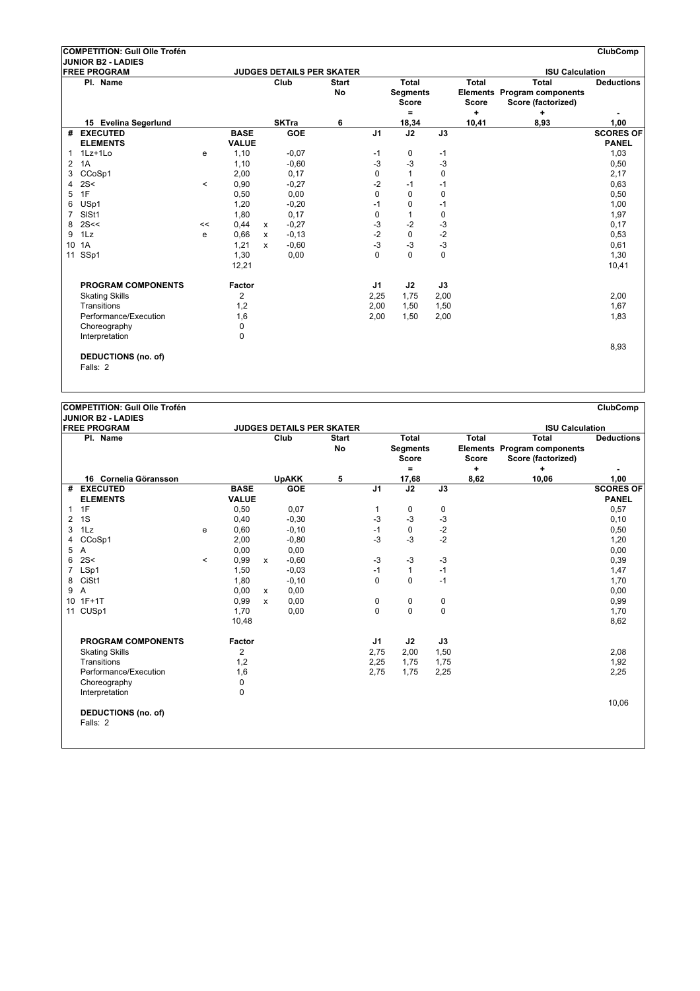|    | COMPETITION: Gull Olle Trofén          |         |                |              |              |                                  |                |                                                 |             |                                           |                                                                               | ClubComp          |
|----|----------------------------------------|---------|----------------|--------------|--------------|----------------------------------|----------------|-------------------------------------------------|-------------|-------------------------------------------|-------------------------------------------------------------------------------|-------------------|
|    | JUNIOR B2 - LADIES                     |         |                |              |              |                                  |                |                                                 |             |                                           |                                                                               |                   |
|    | <b>FREE PROGRAM</b>                    |         |                |              |              | <b>JUDGES DETAILS PER SKATER</b> |                |                                                 |             |                                           | <b>ISU Calculation</b>                                                        |                   |
|    | Pl. Name                               |         |                |              | Club         | <b>Start</b><br><b>No</b>        |                | Total<br><b>Segments</b><br><b>Score</b><br>$=$ |             | <b>Total</b><br><b>Score</b><br>$\ddot{}$ | <b>Total</b><br><b>Elements Program components</b><br>Score (factorized)<br>÷ | <b>Deductions</b> |
|    | 15 Evelina Segerlund                   |         |                |              | <b>SKTra</b> | 6                                |                | 18,34                                           |             | 10,41                                     | 8,93                                                                          | 1,00              |
| #  | <b>EXECUTED</b>                        |         | <b>BASE</b>    |              | <b>GOE</b>   |                                  | J <sub>1</sub> | J2                                              | J3          |                                           |                                                                               | <b>SCORES OF</b>  |
|    | <b>ELEMENTS</b>                        |         | <b>VALUE</b>   |              |              |                                  |                |                                                 |             |                                           |                                                                               | <b>PANEL</b>      |
| 1  | 1Lz+1Lo                                | e       | 1,10           |              | $-0.07$      |                                  | $-1$           | 0                                               | $-1$        |                                           |                                                                               | 1,03              |
| 2  | 1A                                     |         | 1,10           |              | $-0.60$      |                                  | $-3$           | $-3$                                            | -3          |                                           |                                                                               | 0,50              |
| 3  | CCoSp1                                 |         | 2,00           |              | 0.17         |                                  | 0              | $\mathbf{1}$                                    | $\mathbf 0$ |                                           |                                                                               | 2,17              |
| 4  | 2S<                                    | $\,<\,$ | 0,90           |              | $-0,27$      |                                  | -2             | $-1$                                            | $-1$        |                                           |                                                                               | 0,63              |
| 5  | 1F                                     |         | 0,50           |              | 0,00         |                                  | 0              | $\mathbf 0$                                     | 0           |                                           |                                                                               | 0,50              |
| 6  | USp1                                   |         | 1,20           |              | $-0,20$      |                                  | $-1$           | $\Omega$                                        | $-1$        |                                           |                                                                               | 1,00              |
| 7  | SISt1                                  |         | 1,80           |              | 0,17         |                                  | 0              | 1                                               | 0           |                                           |                                                                               | 1,97              |
| 8  | 2S<<                                   | <<      | 0,44           | $\mathsf{x}$ | $-0,27$      |                                  | $-3$           | $-2$                                            | $-3$        |                                           |                                                                               | 0,17              |
| 9  | 1Lz                                    | e       | 0,66           | $\mathsf{x}$ | $-0,13$      |                                  | $-2$           | $\mathbf 0$                                     | $-2$        |                                           |                                                                               | 0,53              |
| 10 | 1A                                     |         | 1,21           | $\mathsf{x}$ | $-0.60$      |                                  | $-3$           | $-3$                                            | $-3$        |                                           |                                                                               | 0,61              |
| 11 | SSp1                                   |         | 1,30           |              | 0,00         |                                  | $\Omega$       | $\Omega$                                        | $\Omega$    |                                           |                                                                               | 1,30              |
|    |                                        |         | 12,21          |              |              |                                  |                |                                                 |             |                                           |                                                                               | 10,41             |
|    | PROGRAM COMPONENTS                     |         | Factor         |              |              |                                  | J1             | J2                                              | J3          |                                           |                                                                               |                   |
|    | <b>Skating Skills</b>                  |         | $\overline{2}$ |              |              |                                  | 2,25           | 1,75                                            | 2,00        |                                           |                                                                               | 2,00              |
|    | Transitions                            |         | 1,2            |              |              |                                  | 2,00           | 1,50                                            | 1,50        |                                           |                                                                               | 1,67              |
|    | Performance/Execution                  |         | 1,6            |              |              |                                  | 2,00           | 1,50                                            | 2,00        |                                           |                                                                               | 1,83              |
|    | Choreography                           |         | $\Omega$       |              |              |                                  |                |                                                 |             |                                           |                                                                               |                   |
|    | Interpretation                         |         | 0              |              |              |                                  |                |                                                 |             |                                           |                                                                               |                   |
|    | <b>DEDUCTIONS (no. of)</b><br>Falls: 2 |         |                |              |              |                                  |                |                                                 |             |                                           |                                                                               | 8,93              |

|                | <b>JUNIOR B2 - LADIES</b>              |         |              |              |                                  |                    |                |                                                             |             |                                           |                                                                               |                   |
|----------------|----------------------------------------|---------|--------------|--------------|----------------------------------|--------------------|----------------|-------------------------------------------------------------|-------------|-------------------------------------------|-------------------------------------------------------------------------------|-------------------|
|                | <b>FREE PROGRAM</b>                    |         |              |              | <b>JUDGES DETAILS PER SKATER</b> |                    |                |                                                             |             |                                           | <b>ISU Calculation</b>                                                        |                   |
|                | Pl. Name                               |         |              |              | Club                             | <b>Start</b><br>No |                | <b>Total</b><br><b>Segments</b><br><b>Score</b><br>$\equiv$ |             | <b>Total</b><br><b>Score</b><br>$\ddot{}$ | <b>Total</b><br><b>Elements Program components</b><br>Score (factorized)<br>÷ | <b>Deductions</b> |
|                | 16 Cornelia Göransson                  |         |              |              | <b>UpAKK</b>                     | 5                  |                | 17,68                                                       |             | 8,62                                      | 10,06                                                                         | 1,00              |
|                | # EXECUTED                             |         | <b>BASE</b>  |              | GOE                              |                    | J <sub>1</sub> | $\overline{J2}$                                             | J3          |                                           |                                                                               | <b>SCORES OF</b>  |
|                | <b>ELEMENTS</b>                        |         | <b>VALUE</b> |              |                                  |                    |                |                                                             |             |                                           |                                                                               | <b>PANEL</b>      |
| 1              | 1F                                     |         | 0,50         |              | 0,07                             |                    | 1              | 0                                                           | 0           |                                           |                                                                               | 0,57              |
| 2              | 1S                                     |         | 0,40         |              | $-0,30$                          |                    | $-3$           | $-3$                                                        | $-3$        |                                           |                                                                               | 0, 10             |
| 3              | 1Lz                                    | e       | 0,60         |              | $-0,10$                          |                    | $-1$           | $\mathbf 0$                                                 | $-2$        |                                           |                                                                               | 0,50              |
| 4              | CCoSp1                                 |         | 2,00         |              | $-0.80$                          |                    | $-3$           | $-3$                                                        | $-2$        |                                           |                                                                               | 1,20              |
| 5              | Α                                      |         | 0,00         |              | 0,00                             |                    |                |                                                             |             |                                           |                                                                               | 0,00              |
| 6              | 2S<                                    | $\,<\,$ | 0,99         | $\mathsf{x}$ | $-0,60$                          |                    | $-3$           | $-3$                                                        | $-3$        |                                           |                                                                               | 0,39              |
| $\overline{7}$ | LSp1                                   |         | 1,50         |              | $-0.03$                          |                    | $-1$           | $\mathbf{1}$                                                | $-1$        |                                           |                                                                               | 1,47              |
| 8              | CiSt1                                  |         | 1,80         |              | $-0, 10$                         |                    | 0              | $\mathbf 0$                                                 | $-1$        |                                           |                                                                               | 1,70              |
| 9              | A                                      |         | 0,00         | $\mathsf{x}$ | 0,00                             |                    |                |                                                             |             |                                           |                                                                               | 0,00              |
|                | 10 1F+1T                               |         | 0,99         | $\mathbf{x}$ | 0.00                             |                    | 0              | 0                                                           | $\pmb{0}$   |                                           |                                                                               | 0,99              |
|                | 11 CUSp1                               |         | 1,70         |              | 0,00                             |                    | $\mathbf 0$    | 0                                                           | $\mathbf 0$ |                                           |                                                                               | 1,70              |
|                |                                        |         | 10,48        |              |                                  |                    |                |                                                             |             |                                           |                                                                               | 8,62              |
|                | <b>PROGRAM COMPONENTS</b>              |         | Factor       |              |                                  |                    | J1             | J2                                                          | J3          |                                           |                                                                               |                   |
|                | <b>Skating Skills</b>                  |         | 2            |              |                                  |                    | 2,75           | 2,00                                                        | 1,50        |                                           |                                                                               | 2,08              |
|                | Transitions                            |         | 1,2          |              |                                  |                    | 2,25           | 1,75                                                        | 1,75        |                                           |                                                                               | 1,92              |
|                | Performance/Execution                  |         | 1,6          |              |                                  |                    | 2,75           | 1,75                                                        | 2,25        |                                           |                                                                               | 2,25              |
|                | Choreography                           |         | 0            |              |                                  |                    |                |                                                             |             |                                           |                                                                               |                   |
|                | Interpretation                         |         | 0            |              |                                  |                    |                |                                                             |             |                                           |                                                                               |                   |
|                | <b>DEDUCTIONS (no. of)</b><br>Falls: 2 |         |              |              |                                  |                    |                |                                                             |             |                                           |                                                                               | 10,06             |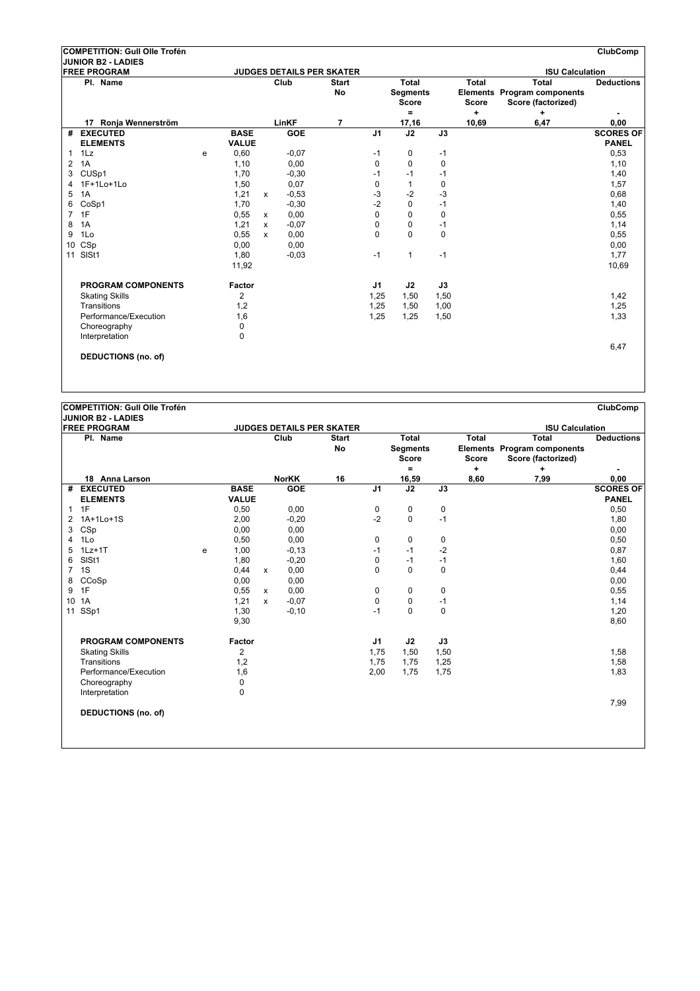|                | COMPETITION: Gull Olle Trofén                    |   |              |              |            |                                  |                |                                               |             |                                           |                                                                               | <b>ClubComp</b>   |
|----------------|--------------------------------------------------|---|--------------|--------------|------------|----------------------------------|----------------|-----------------------------------------------|-------------|-------------------------------------------|-------------------------------------------------------------------------------|-------------------|
|                | <b>JUNIOR B2 - LADIES</b><br><b>FREE PROGRAM</b> |   |              |              |            | <b>JUDGES DETAILS PER SKATER</b> |                |                                               |             |                                           | <b>ISU Calculation</b>                                                        |                   |
|                | Pl. Name                                         |   |              |              | Club       | <b>Start</b><br>No               |                | Total<br><b>Segments</b><br><b>Score</b><br>۰ |             | <b>Total</b><br><b>Score</b><br>$\ddot{}$ | <b>Total</b><br><b>Elements Program components</b><br>Score (factorized)<br>÷ | <b>Deductions</b> |
|                | 17 Ronia Wennerström                             |   |              |              | LinKF      | 7                                |                | 17,16                                         |             | 10,69                                     | 6,47                                                                          | 0,00              |
| #              | <b>EXECUTED</b>                                  |   | <b>BASE</b>  |              | <b>GOE</b> |                                  | J <sub>1</sub> | J2                                            | J3          |                                           |                                                                               | <b>SCORES OF</b>  |
|                | <b>ELEMENTS</b>                                  |   | <b>VALUE</b> |              |            |                                  |                |                                               |             |                                           |                                                                               | <b>PANEL</b>      |
| 1              | 1Lz                                              | e | 0,60         |              | $-0.07$    |                                  | $-1$           | 0                                             | $-1$        |                                           |                                                                               | 0,53              |
| 2              | 1A                                               |   | 1,10         |              | 0,00       |                                  | 0              | $\Omega$                                      | $\mathbf 0$ |                                           |                                                                               | 1,10              |
| 3              | CUSp1                                            |   | 1,70         |              | $-0,30$    |                                  | $-1$           | $-1$                                          | $-1$        |                                           |                                                                               | 1,40              |
| 4              | 1F+1Lo+1Lo                                       |   | 1,50         |              | 0,07       |                                  | $\mathbf 0$    | 1                                             | 0           |                                           |                                                                               | 1,57              |
| 5              | 1A                                               |   | 1,21         | $\mathbf{x}$ | $-0,53$    |                                  | -3             | $-2$                                          | -3          |                                           |                                                                               | 0,68              |
| 6              | CoSp1                                            |   | 1,70         |              | $-0,30$    |                                  | $-2$           | $\Omega$                                      | $-1$        |                                           |                                                                               | 1,40              |
| $\overline{7}$ | 1F                                               |   | 0,55         | $\mathsf{x}$ | 0,00       |                                  | $\Omega$       | $\Omega$                                      | $\Omega$    |                                           |                                                                               | 0,55              |
| 8              | 1A                                               |   | 1,21         | $\mathbf{x}$ | $-0.07$    |                                  | $\mathbf 0$    | $\Omega$                                      | $-1$        |                                           |                                                                               | 1,14              |
| 9              | 1Lo                                              |   | 0,55         | x            | 0,00       |                                  | $\mathbf 0$    | $\Omega$                                      | $\mathbf 0$ |                                           |                                                                               | 0,55              |
| 10             | CSp                                              |   | 0,00         |              | 0.00       |                                  |                |                                               |             |                                           |                                                                               | 0,00              |
| 11             | SISt1                                            |   | 1,80         |              | $-0.03$    |                                  | $-1$           | 1                                             | $-1$        |                                           |                                                                               | 1,77              |
|                |                                                  |   | 11,92        |              |            |                                  |                |                                               |             |                                           |                                                                               | 10,69             |
|                | <b>PROGRAM COMPONENTS</b>                        |   | Factor       |              |            |                                  | J1             | J2                                            | J3          |                                           |                                                                               |                   |
|                | <b>Skating Skills</b>                            |   | 2            |              |            |                                  | 1,25           | 1,50                                          | 1,50        |                                           |                                                                               | 1,42              |
|                | Transitions                                      |   | 1,2          |              |            |                                  | 1,25           | 1,50                                          | 1,00        |                                           |                                                                               | 1,25              |
|                | Performance/Execution                            |   | 1,6          |              |            |                                  | 1,25           | 1,25                                          | 1,50        |                                           |                                                                               | 1,33              |
|                | Choreography                                     |   | $\mathbf 0$  |              |            |                                  |                |                                               |             |                                           |                                                                               |                   |
|                | Interpretation                                   |   | $\Omega$     |              |            |                                  |                |                                               |             |                                           |                                                                               |                   |
|                |                                                  |   |              |              |            |                                  |                |                                               |             |                                           |                                                                               | 6,47              |
|                | <b>DEDUCTIONS (no. of)</b>                       |   |              |              |            |                                  |                |                                               |             |                                           |                                                                               |                   |
|                |                                                  |   |              |              |            |                                  |                |                                               |             |                                           |                                                                               |                   |

**JUNIOR B2 - LADIES**

|                       | IJUNIUK BZ - LADIES<br><b>FREE PROGRAM</b> |   |               |              |              | <b>JUDGES DETAILS PER SKATER</b> |                |                                          |             |                              | <b>ISU Calculation</b>                                            |                   |
|-----------------------|--------------------------------------------|---|---------------|--------------|--------------|----------------------------------|----------------|------------------------------------------|-------------|------------------------------|-------------------------------------------------------------------|-------------------|
|                       | Pl. Name                                   |   |               |              | Club         | <b>Start</b><br><b>No</b>        |                | Total<br><b>Segments</b><br><b>Score</b> |             | <b>Total</b><br><b>Score</b> | <b>Total</b><br>Elements Program components<br>Score (factorized) | <b>Deductions</b> |
|                       |                                            |   |               |              |              |                                  |                | Ξ.                                       |             | ÷                            | ٠                                                                 |                   |
|                       | 18 Anna Larson                             |   |               |              | <b>NorKK</b> | 16                               |                | 16,59                                    |             | 8,60                         | 7,99                                                              | 0,00              |
|                       | # EXECUTED                                 |   | <b>BASE</b>   |              | <b>GOE</b>   |                                  | J1             | J2                                       | J3          |                              |                                                                   | <b>SCORES OF</b>  |
|                       | <b>ELEMENTS</b>                            |   | <b>VALUE</b>  |              |              |                                  |                |                                          |             |                              |                                                                   | <b>PANEL</b>      |
| $\mathbf{1}$          | 1F                                         |   | 0,50          |              | 0,00         |                                  | 0              | 0                                        | $\pmb{0}$   |                              |                                                                   | 0,50              |
| $\mathbf{2}^{\prime}$ | 1A+1Lo+1S                                  |   | 2,00          |              | $-0,20$      |                                  | $-2$           | $\mathbf 0$                              | $-1$        |                              |                                                                   | 1,80              |
| 3                     | CSp                                        |   | 0,00          |              | 0.00         |                                  |                |                                          |             |                              |                                                                   | 0,00              |
| 4                     | 1Lo                                        |   | 0,50          |              | 0,00         |                                  | 0              | 0                                        | 0           |                              |                                                                   | 0,50              |
| 5                     | $1Lz+1T$                                   | e | 1,00          |              | $-0,13$      |                                  | $-1$           | $-1$                                     | $-2$        |                              |                                                                   | 0,87              |
| 6                     | SISt1                                      |   | 1,80          |              | $-0,20$      |                                  | 0              | $-1$                                     | $-1$        |                              |                                                                   | 1,60              |
| 7                     | 1S                                         |   | 0,44          | $\mathsf{x}$ | 0,00         |                                  | $\Omega$       | $\Omega$                                 | $\Omega$    |                              |                                                                   | 0,44              |
| 8                     | CCoSp                                      |   | 0,00          |              | 0,00         |                                  |                |                                          |             |                              |                                                                   | 0,00              |
| 9                     | 1F                                         |   | 0,55          | $\mathsf{x}$ | 0,00         |                                  | 0              | 0                                        | 0           |                              |                                                                   | 0,55              |
| 10                    | 1A                                         |   | 1,21          | X            | $-0.07$      |                                  | $\mathbf 0$    | 0                                        | $-1$        |                              |                                                                   | 1,14              |
|                       | 11 SSp1                                    |   | 1,30          |              | $-0, 10$     |                                  | $-1$           | $\Omega$                                 | $\mathbf 0$ |                              |                                                                   | 1,20              |
|                       |                                            |   | 9,30          |              |              |                                  |                |                                          |             |                              |                                                                   | 8,60              |
|                       | <b>PROGRAM COMPONENTS</b>                  |   | <b>Factor</b> |              |              |                                  | J <sub>1</sub> | J2                                       | J3          |                              |                                                                   |                   |
|                       | <b>Skating Skills</b>                      |   | 2             |              |              |                                  | 1,75           | 1,50                                     | 1,50        |                              |                                                                   | 1,58              |
|                       | Transitions                                |   | 1,2           |              |              |                                  | 1,75           | 1,75                                     | 1,25        |                              |                                                                   | 1,58              |
|                       | Performance/Execution                      |   | 1,6           |              |              |                                  | 2,00           | 1,75                                     | 1,75        |                              |                                                                   | 1,83              |
|                       | Choreography                               |   | 0             |              |              |                                  |                |                                          |             |                              |                                                                   |                   |
|                       | Interpretation                             |   | 0             |              |              |                                  |                |                                          |             |                              |                                                                   |                   |
|                       | <b>DEDUCTIONS (no. of)</b>                 |   |               |              |              |                                  |                |                                          |             |                              |                                                                   | 7,99              |
|                       |                                            |   |               |              |              |                                  |                |                                          |             |                              |                                                                   |                   |